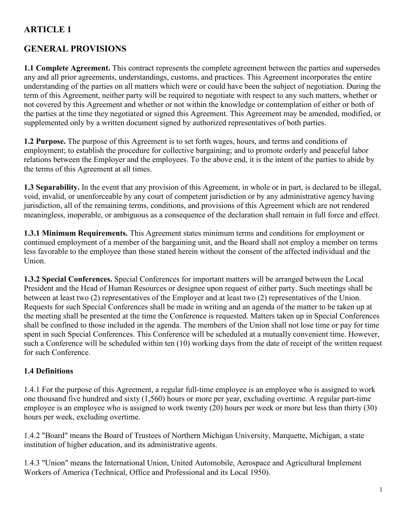## **GENERAL PROVISIONS**

**1.1 Complete Agreement.** This contract represents the complete agreement between the parties and supersedes any and all prior agreements, understandings, customs, and practices. This Agreement incorporates the entire understanding of the parties on all matters which were or could have been the subject of negotiation. During the term of this Agreement, neither party will be required to negotiate with respect to any such matters, whether or not covered by this Agreement and whether or not within the knowledge or contemplation of either or both of the parties at the time they negotiated or signed this Agreement. This Agreement may be amended, modified, or supplemented only by a written document signed by authorized representatives of both parties.

**1.2 Purpose.** The purpose of this Agreement is to set forth wages, hours, and terms and conditions of employment; to establish the procedure for collective bargaining; and to promote orderly and peaceful labor relations between the Employer and the employees. To the above end, it is the intent of the parties to abide by the terms of this Agreement at all times.

**1.3 Separability.** In the event that any provision of this Agreement, in whole or in part, is declared to be illegal, void, invalid, or unenforceable by any court of competent jurisdiction or by any administrative agency having jurisdiction, all of the remaining terms, conditions, and provisions of this Agreement which are not rendered meaningless, inoperable, or ambiguous as a consequence of the declaration shall remain in full force and effect.

**1.3.1 Minimum Requirements.** This Agreement states minimum terms and conditions for employment or continued employment of a member of the bargaining unit, and the Board shall not employ a member on terms less favorable to the employee than those stated herein without the consent of the affected individual and the Union.

**1.3.2 Special Conferences.** Special Conferences for important matters will be arranged between the Local President and the Head of Human Resources or designee upon request of either party. Such meetings shall be between at least two (2) representatives of the Employer and at least two (2) representatives of the Union. Requests for such Special Conferences shall be made in writing and an agenda of the matter to be taken up at the meeting shall be presented at the time the Conference is requested. Matters taken up in Special Conferences shall be confined to those included in the agenda. The members of the Union shall not lose time or pay for time spent in such Special Conferences. This Conference will be scheduled at a mutually convenient time. However, such a Conference will be scheduled within ten (10) working days from the date of receipt of the written request for such Conference.

### **1.4 Definitions**

1.4.1 For the purpose of this Agreement, a regular full-time employee is an employee who is assigned to work one thousand five hundred and sixty (1,560) hours or more per year, excluding overtime. A regular part-time employee is an employee who is assigned to work twenty (20) hours per week or more but less than thirty (30) hours per week, excluding overtime.

1.4.2 "Board" means the Board of Trustees of Northern Michigan University, Marquette, Michigan, a state institution of higher education, and its administrative agents.

1.4.3 "Union" means the International Union, United Automobile, Aerospace and Agricultural Implement Workers of America (Technical, Office and Professional and its Local 1950).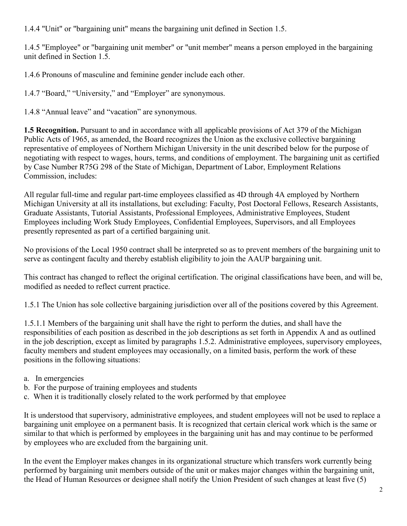1.4.4 "Unit" or "bargaining unit" means the bargaining unit defined in Section 1.5.

1.4.5 "Employee" or "bargaining unit member" or "unit member" means a person employed in the bargaining unit defined in Section 1.5.

1.4.6 Pronouns of masculine and feminine gender include each other.

1.4.7 "Board," "University," and "Employer" are synonymous.

1.4.8 "Annual leave" and "vacation" are synonymous.

**1.5 Recognition.** Pursuant to and in accordance with all applicable provisions of Act 379 of the Michigan Public Acts of 1965, as amended, the Board recognizes the Union as the exclusive collective bargaining representative of employees of Northern Michigan University in the unit described below for the purpose of negotiating with respect to wages, hours, terms, and conditions of employment. The bargaining unit as certified by Case Number R75G 298 of the State of Michigan, Department of Labor, Employment Relations Commission, includes:

All regular full-time and regular part-time employees classified as 4D through 4A employed by Northern Michigan University at all its installations, but excluding: Faculty, Post Doctoral Fellows, Research Assistants, Graduate Assistants, Tutorial Assistants, Professional Employees, Administrative Employees, Student Employees including Work Study Employees, Confidential Employees, Supervisors, and all Employees presently represented as part of a certified bargaining unit.

No provisions of the Local 1950 contract shall be interpreted so as to prevent members of the bargaining unit to serve as contingent faculty and thereby establish eligibility to join the AAUP bargaining unit.

This contract has changed to reflect the original certification. The original classifications have been, and will be, modified as needed to reflect current practice.

1.5.1 The Union has sole collective bargaining jurisdiction over all of the positions covered by this Agreement.

1.5.1.1 Members of the bargaining unit shall have the right to perform the duties, and shall have the responsibilities of each position as described in the job descriptions as set forth in Appendix A and as outlined in the job description, except as limited by paragraphs 1.5.2. Administrative employees, supervisory employees, faculty members and student employees may occasionally, on a limited basis, perform the work of these positions in the following situations:

- a. In emergencies
- b. For the purpose of training employees and students
- c. When it is traditionally closely related to the work performed by that employee

It is understood that supervisory, administrative employees, and student employees will not be used to replace a bargaining unit employee on a permanent basis. It is recognized that certain clerical work which is the same or similar to that which is performed by employees in the bargaining unit has and may continue to be performed by employees who are excluded from the bargaining unit.

In the event the Employer makes changes in its organizational structure which transfers work currently being performed by bargaining unit members outside of the unit or makes major changes within the bargaining unit, the Head of Human Resources or designee shall notify the Union President of such changes at least five (5)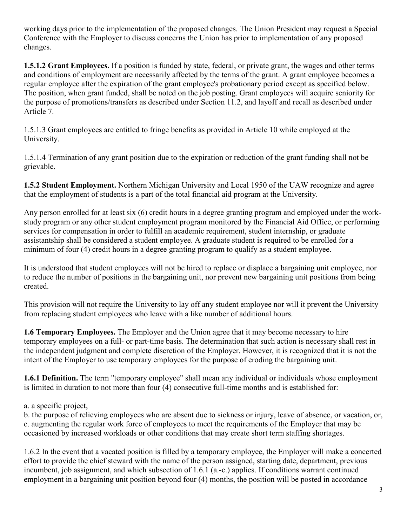working days prior to the implementation of the proposed changes. The Union President may request a Special Conference with the Employer to discuss concerns the Union has prior to implementation of any proposed changes.

**1.5.1.2 Grant Employees.** If a position is funded by state, federal, or private grant, the wages and other terms and conditions of employment are necessarily affected by the terms of the grant. A grant employee becomes a regular employee after the expiration of the grant employee's probationary period except as specified below. The position, when grant funded, shall be noted on the job posting. Grant employees will acquire seniority for the purpose of promotions/transfers as described under Section 11.2, and layoff and recall as described under Article 7.

1.5.1.3 Grant employees are entitled to fringe benefits as provided in Article 10 while employed at the University.

1.5.1.4 Termination of any grant position due to the expiration or reduction of the grant funding shall not be grievable.

**1.5.2 Student Employment.** Northern Michigan University and Local 1950 of the UAW recognize and agree that the employment of students is a part of the total financial aid program at the University.

Any person enrolled for at least six (6) credit hours in a degree granting program and employed under the workstudy program or any other student employment program monitored by the Financial Aid Office, or performing services for compensation in order to fulfill an academic requirement, student internship, or graduate assistantship shall be considered a student employee. A graduate student is required to be enrolled for a minimum of four (4) credit hours in a degree granting program to qualify as a student employee.

It is understood that student employees will not be hired to replace or displace a bargaining unit employee, nor to reduce the number of positions in the bargaining unit, nor prevent new bargaining unit positions from being created.

This provision will not require the University to lay off any student employee nor will it prevent the University from replacing student employees who leave with a like number of additional hours.

**1.6 Temporary Employees.** The Employer and the Union agree that it may become necessary to hire temporary employees on a full- or part-time basis. The determination that such action is necessary shall rest in the independent judgment and complete discretion of the Employer. However, it is recognized that it is not the intent of the Employer to use temporary employees for the purpose of eroding the bargaining unit.

**1.6.1 Definition.** The term "temporary employee" shall mean any individual or individuals whose employment is limited in duration to not more than four (4) consecutive full-time months and is established for:

a. a specific project,

b. the purpose of relieving employees who are absent due to sickness or injury, leave of absence, or vacation, or, c. augmenting the regular work force of employees to meet the requirements of the Employer that may be occasioned by increased workloads or other conditions that may create short term staffing shortages.

1.6.2 In the event that a vacated position is filled by a temporary employee, the Employer will make a concerted effort to provide the chief steward with the name of the person assigned, starting date, department, previous incumbent, job assignment, and which subsection of 1.6.1 (a.-c.) applies. If conditions warrant continued employment in a bargaining unit position beyond four (4) months, the position will be posted in accordance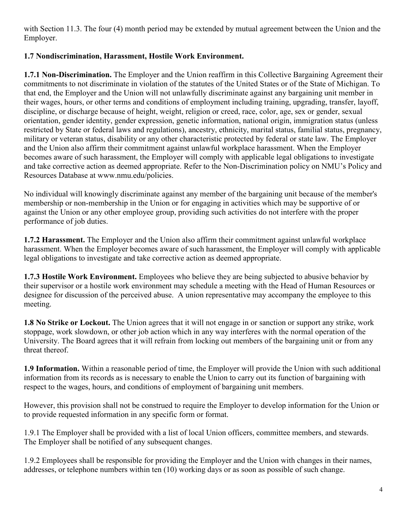with Section 11.3. The four (4) month period may be extended by mutual agreement between the Union and the Employer.

## **1.7 Nondiscrimination, Harassment, Hostile Work Environment.**

**1.7.1 Non-Discrimination.** The Employer and the Union reaffirm in this Collective Bargaining Agreement their commitments to not discriminate in violation of the statutes of the United States or of the State of Michigan. To that end, the Employer and the Union will not unlawfully discriminate against any bargaining unit member in their wages, hours, or other terms and conditions of employment including training, upgrading, transfer, layoff, discipline, or discharge because of height, weight, religion or creed, race, color, age, sex or gender, sexual orientation, gender identity, gender expression, genetic information, national origin, immigration status (unless restricted by State or federal laws and regulations), ancestry, ethnicity, marital status, familial status, pregnancy, military or veteran status, disability or any other characteristic protected by federal or state law. The Employer and the Union also affirm their commitment against unlawful workplace harassment. When the Employer becomes aware of such harassment, the Employer will comply with applicable legal obligations to investigate and take corrective action as deemed appropriate. Refer to the Non-Discrimination policy on NMU's Policy and Resources Database at www.nmu.edu/policies.

No individual will knowingly discriminate against any member of the bargaining unit because of the member's membership or non-membership in the Union or for engaging in activities which may be supportive of or against the Union or any other employee group, providing such activities do not interfere with the proper performance of job duties.

**1.7.2 Harassment.** The Employer and the Union also affirm their commitment against unlawful workplace harassment. When the Employer becomes aware of such harassment, the Employer will comply with applicable legal obligations to investigate and take corrective action as deemed appropriate.

**1.7.3 Hostile Work Environment.** Employees who believe they are being subjected to abusive behavior by their supervisor or a hostile work environment may schedule a meeting with the Head of Human Resources or designee for discussion of the perceived abuse. A union representative may accompany the employee to this meeting.

**1.8 No Strike or Lockout.** The Union agrees that it will not engage in or sanction or support any strike, work stoppage, work slowdown, or other job action which in any way interferes with the normal operation of the University. The Board agrees that it will refrain from locking out members of the bargaining unit or from any threat thereof.

**1.9 Information.** Within a reasonable period of time, the Employer will provide the Union with such additional information from its records as is necessary to enable the Union to carry out its function of bargaining with respect to the wages, hours, and conditions of employment of bargaining unit members.

However, this provision shall not be construed to require the Employer to develop information for the Union or to provide requested information in any specific form or format.

1.9.1 The Employer shall be provided with a list of local Union officers, committee members, and stewards. The Employer shall be notified of any subsequent changes.

1.9.2 Employees shall be responsible for providing the Employer and the Union with changes in their names, addresses, or telephone numbers within ten (10) working days or as soon as possible of such change.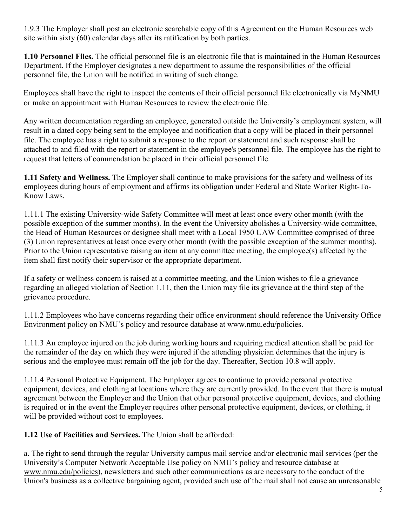1.9.3 The Employer shall post an electronic searchable copy of this Agreement on the Human Resources web site within sixty (60) calendar days after its ratification by both parties.

**1.10 Personnel Files.** The official personnel file is an electronic file that is maintained in the Human Resources Department. If the Employer designates a new department to assume the responsibilities of the official personnel file, the Union will be notified in writing of such change.

Employees shall have the right to inspect the contents of their official personnel file electronically via MyNMU or make an appointment with Human Resources to review the electronic file.

Any written documentation regarding an employee, generated outside the University's employment system, will result in a dated copy being sent to the employee and notification that a copy will be placed in their personnel file. The employee has a right to submit a response to the report or statement and such response shall be attached to and filed with the report or statement in the employee's personnel file. The employee has the right to request that letters of commendation be placed in their official personnel file.

**1.11 Safety and Wellness.** The Employer shall continue to make provisions for the safety and wellness of its employees during hours of employment and affirms its obligation under Federal and State Worker Right-To-Know Laws.

1.11.1 The existing University-wide Safety Committee will meet at least once every other month (with the possible exception of the summer months). In the event the University abolishes a University-wide committee, the Head of Human Resources or designee shall meet with a Local 1950 UAW Committee comprised of three (3) Union representatives at least once every other month (with the possible exception of the summer months). Prior to the Union representative raising an item at any committee meeting, the employee(s) affected by the item shall first notify their supervisor or the appropriate department.

If a safety or wellness concern is raised at a committee meeting, and the Union wishes to file a grievance regarding an alleged violation of Section 1.11, then the Union may file its grievance at the third step of the grievance procedure.

1.11.2 Employees who have concerns regarding their office environment should reference the University Office Environment policy on NMU's policy and resource database at www.nmu.edu/policies.

1.11.3 An employee injured on the job during working hours and requiring medical attention shall be paid for the remainder of the day on which they were injured if the attending physician determines that the injury is serious and the employee must remain off the job for the day. Thereafter, Section 10.8 will apply.

1.11.4 Personal Protective Equipment. The Employer agrees to continue to provide personal protective equipment, devices, and clothing at locations where they are currently provided. In the event that there is mutual agreement between the Employer and the Union that other personal protective equipment, devices, and clothing is required or in the event the Employer requires other personal protective equipment, devices, or clothing, it will be provided without cost to employees.

**1.12 Use of Facilities and Services.** The Union shall be afforded:

a. The right to send through the regular University campus mail service and/or electronic mail services (per the University's Computer Network Acceptable Use policy on NMU's policy and resource database at www.nmu.edu/policies), newsletters and such other communications as are necessary to the conduct of the Union's business as a collective bargaining agent, provided such use of the mail shall not cause an unreasonable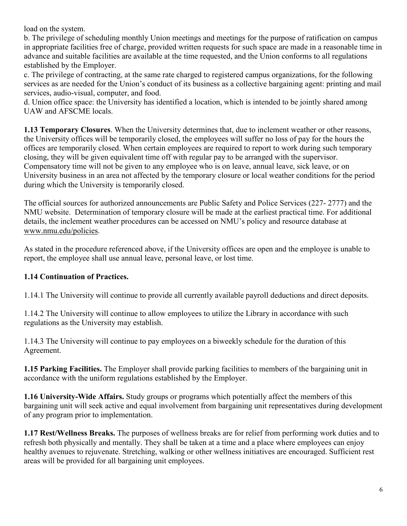load on the system.

b. The privilege of scheduling monthly Union meetings and meetings for the purpose of ratification on campus in appropriate facilities free of charge, provided written requests for such space are made in a reasonable time in advance and suitable facilities are available at the time requested, and the Union conforms to all regulations established by the Employer.

c. The privilege of contracting, at the same rate charged to registered campus organizations, for the following services as are needed for the Union's conduct of its business as a collective bargaining agent: printing and mail services, audio-visual, computer, and food.

d. Union office space: the University has identified a location, which is intended to be jointly shared among UAW and AFSCME locals.

**1.13 Temporary Closures**. When the University determines that, due to inclement weather or other reasons, the University offices will be temporarily closed, the employees will suffer no loss of pay for the hours the offices are temporarily closed. When certain employees are required to report to work during such temporary closing, they will be given equivalent time off with regular pay to be arranged with the supervisor. Compensatory time will not be given to any employee who is on leave, annual leave, sick leave, or on University business in an area not affected by the temporary closure or local weather conditions for the period during which the University is temporarily closed.

The official sources for authorized announcements are Public Safety and Police Services (227- 2777) and the NMU website. Determination of temporary closure will be made at the earliest practical time. For additional details, the inclement weather procedures can be accessed on NMU's policy and resource database at www.nmu.edu/policies.

As stated in the procedure referenced above, if the University offices are open and the employee is unable to report, the employee shall use annual leave, personal leave, or lost time.

### **1.14 Continuation of Practices.**

1.14.1 The University will continue to provide all currently available payroll deductions and direct deposits.

1.14.2 The University will continue to allow employees to utilize the Library in accordance with such regulations as the University may establish.

1.14.3 The University will continue to pay employees on a biweekly schedule for the duration of this Agreement.

**1.15 Parking Facilities.** The Employer shall provide parking facilities to members of the bargaining unit in accordance with the uniform regulations established by the Employer.

**1.16 University-Wide Affairs.** Study groups or programs which potentially affect the members of this bargaining unit will seek active and equal involvement from bargaining unit representatives during development of any program prior to implementation.

**1.17 Rest/Wellness Breaks.** The purposes of wellness breaks are for relief from performing work duties and to refresh both physically and mentally. They shall be taken at a time and a place where employees can enjoy healthy avenues to rejuvenate. Stretching, walking or other wellness initiatives are encouraged. Sufficient rest areas will be provided for all bargaining unit employees.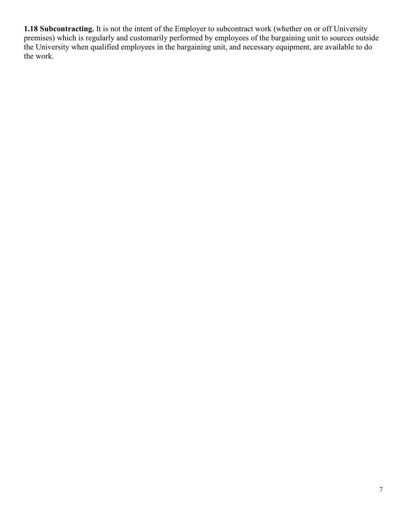**1.18 Subcontracting.** It is not the intent of the Employer to subcontract work (whether on or off University premises) which is regularly and customarily performed by employees of the bargaining unit to sources outside the University when qualified employees in the bargaining unit, and necessary equipment, are available to do the work.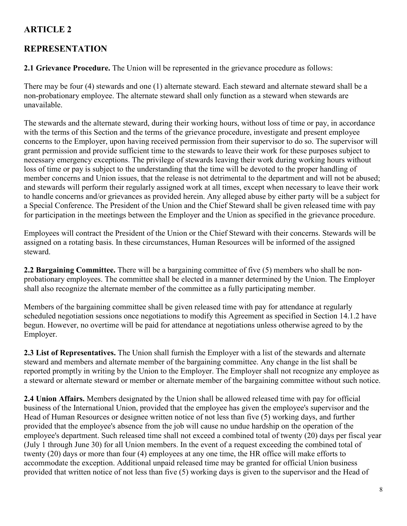# **REPRESENTATION**

**2.1 Grievance Procedure.** The Union will be represented in the grievance procedure as follows:

There may be four (4) stewards and one (1) alternate steward. Each steward and alternate steward shall be a non-probationary employee. The alternate steward shall only function as a steward when stewards are unavailable.

The stewards and the alternate steward, during their working hours, without loss of time or pay, in accordance with the terms of this Section and the terms of the grievance procedure, investigate and present employee concerns to the Employer, upon having received permission from their supervisor to do so. The supervisor will grant permission and provide sufficient time to the stewards to leave their work for these purposes subject to necessary emergency exceptions. The privilege of stewards leaving their work during working hours without loss of time or pay is subject to the understanding that the time will be devoted to the proper handling of member concerns and Union issues, that the release is not detrimental to the department and will not be abused; and stewards will perform their regularly assigned work at all times, except when necessary to leave their work to handle concerns and/or grievances as provided herein. Any alleged abuse by either party will be a subject for a Special Conference. The President of the Union and the Chief Steward shall be given released time with pay for participation in the meetings between the Employer and the Union as specified in the grievance procedure.

Employees will contract the President of the Union or the Chief Steward with their concerns. Stewards will be assigned on a rotating basis. In these circumstances, Human Resources will be informed of the assigned steward.

**2.2 Bargaining Committee.** There will be a bargaining committee of five (5) members who shall be nonprobationary employees. The committee shall be elected in a manner determined by the Union. The Employer shall also recognize the alternate member of the committee as a fully participating member.

Members of the bargaining committee shall be given released time with pay for attendance at regularly scheduled negotiation sessions once negotiations to modify this Agreement as specified in Section 14.1.2 have begun. However, no overtime will be paid for attendance at negotiations unless otherwise agreed to by the Employer.

**2.3 List of Representatives.** The Union shall furnish the Employer with a list of the stewards and alternate steward and members and alternate member of the bargaining committee. Any change in the list shall be reported promptly in writing by the Union to the Employer. The Employer shall not recognize any employee as a steward or alternate steward or member or alternate member of the bargaining committee without such notice.

**2.4 Union Affairs.** Members designated by the Union shall be allowed released time with pay for official business of the International Union, provided that the employee has given the employee's supervisor and the Head of Human Resources or designee written notice of not less than five (5) working days, and further provided that the employee's absence from the job will cause no undue hardship on the operation of the employee's department. Such released time shall not exceed a combined total of twenty (20) days per fiscal year (July 1 through June 30) for all Union members. In the event of a request exceeding the combined total of twenty (20) days or more than four (4) employees at any one time, the HR office will make efforts to accommodate the exception. Additional unpaid released time may be granted for official Union business provided that written notice of not less than five (5) working days is given to the supervisor and the Head of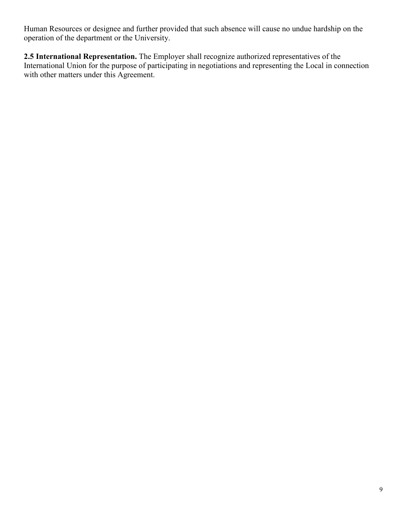Human Resources or designee and further provided that such absence will cause no undue hardship on the operation of the department or the University.

**2.5 International Representation.** The Employer shall recognize authorized representatives of the International Union for the purpose of participating in negotiations and representing the Local in connection with other matters under this Agreement.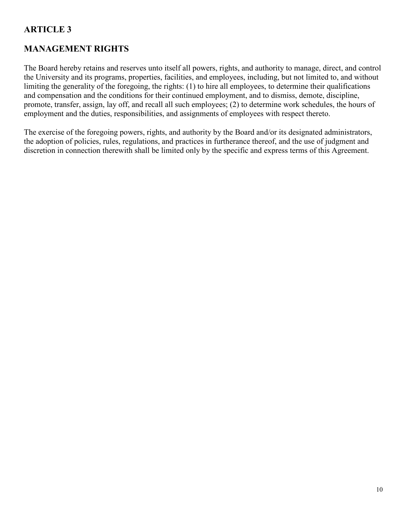# **MANAGEMENT RIGHTS**

The Board hereby retains and reserves unto itself all powers, rights, and authority to manage, direct, and control the University and its programs, properties, facilities, and employees, including, but not limited to, and without limiting the generality of the foregoing, the rights: (1) to hire all employees, to determine their qualifications and compensation and the conditions for their continued employment, and to dismiss, demote, discipline, promote, transfer, assign, lay off, and recall all such employees; (2) to determine work schedules, the hours of employment and the duties, responsibilities, and assignments of employees with respect thereto.

The exercise of the foregoing powers, rights, and authority by the Board and/or its designated administrators, the adoption of policies, rules, regulations, and practices in furtherance thereof, and the use of judgment and discretion in connection therewith shall be limited only by the specific and express terms of this Agreement.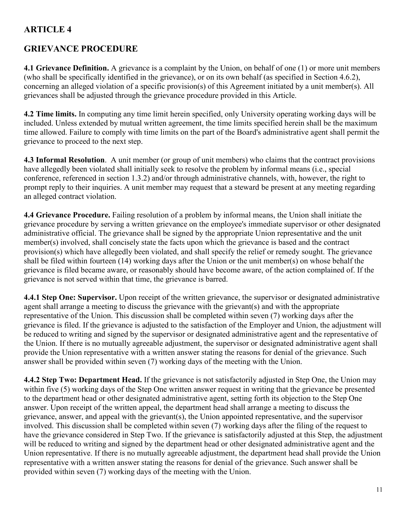## **GRIEVANCE PROCEDURE**

**4.1 Grievance Definition.** A grievance is a complaint by the Union, on behalf of one (1) or more unit members (who shall be specifically identified in the grievance), or on its own behalf (as specified in Section 4.6.2), concerning an alleged violation of a specific provision(s) of this Agreement initiated by a unit member(s). All grievances shall be adjusted through the grievance procedure provided in this Article.

**4.2 Time limits.** In computing any time limit herein specified, only University operating working days will be included. Unless extended by mutual written agreement, the time limits specified herein shall be the maximum time allowed. Failure to comply with time limits on the part of the Board's administrative agent shall permit the grievance to proceed to the next step.

**4.3 Informal Resolution**. A unit member (or group of unit members) who claims that the contract provisions have allegedly been violated shall initially seek to resolve the problem by informal means (i.e., special conference, referenced in section 1.3.2) and/or through administrative channels, with, however, the right to prompt reply to their inquiries. A unit member may request that a steward be present at any meeting regarding an alleged contract violation.

**4.4 Grievance Procedure.** Failing resolution of a problem by informal means, the Union shall initiate the grievance procedure by serving a written grievance on the employee's immediate supervisor or other designated administrative official. The grievance shall be signed by the appropriate Union representative and the unit member(s) involved, shall concisely state the facts upon which the grievance is based and the contract provision(s) which have allegedly been violated, and shall specify the relief or remedy sought. The grievance shall be filed within fourteen (14) working days after the Union or the unit member(s) on whose behalf the grievance is filed became aware, or reasonably should have become aware, of the action complained of. If the grievance is not served within that time, the grievance is barred.

**4.4.1 Step One: Supervisor.** Upon receipt of the written grievance, the supervisor or designated administrative agent shall arrange a meeting to discuss the grievance with the grievant(s) and with the appropriate representative of the Union. This discussion shall be completed within seven (7) working days after the grievance is filed. If the grievance is adjusted to the satisfaction of the Employer and Union, the adjustment will be reduced to writing and signed by the supervisor or designated administrative agent and the representative of the Union. If there is no mutually agreeable adjustment, the supervisor or designated administrative agent shall provide the Union representative with a written answer stating the reasons for denial of the grievance. Such answer shall be provided within seven (7) working days of the meeting with the Union.

**4.4.2 Step Two: Department Head.** If the grievance is not satisfactorily adjusted in Step One, the Union may within five (5) working days of the Step One written answer request in writing that the grievance be presented to the department head or other designated administrative agent, setting forth its objection to the Step One answer. Upon receipt of the written appeal, the department head shall arrange a meeting to discuss the grievance, answer, and appeal with the grievant(s), the Union appointed representative, and the supervisor involved. This discussion shall be completed within seven (7) working days after the filing of the request to have the grievance considered in Step Two. If the grievance is satisfactorily adjusted at this Step, the adjustment will be reduced to writing and signed by the department head or other designated administrative agent and the Union representative. If there is no mutually agreeable adjustment, the department head shall provide the Union representative with a written answer stating the reasons for denial of the grievance. Such answer shall be provided within seven (7) working days of the meeting with the Union.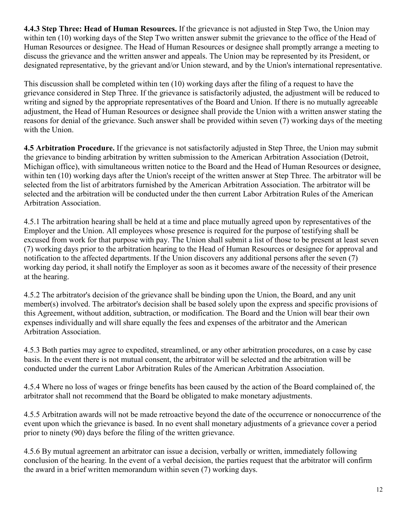**4.4.3 Step Three: Head of Human Resources.** If the grievance is not adjusted in Step Two, the Union may within ten (10) working days of the Step Two written answer submit the grievance to the office of the Head of Human Resources or designee. The Head of Human Resources or designee shall promptly arrange a meeting to discuss the grievance and the written answer and appeals. The Union may be represented by its President, or designated representative, by the grievant and/or Union steward, and by the Union's international representative.

This discussion shall be completed within ten (10) working days after the filing of a request to have the grievance considered in Step Three. If the grievance is satisfactorily adjusted, the adjustment will be reduced to writing and signed by the appropriate representatives of the Board and Union. If there is no mutually agreeable adjustment, the Head of Human Resources or designee shall provide the Union with a written answer stating the reasons for denial of the grievance. Such answer shall be provided within seven (7) working days of the meeting with the Union.

**4.5 Arbitration Procedure.** If the grievance is not satisfactorily adjusted in Step Three, the Union may submit the grievance to binding arbitration by written submission to the American Arbitration Association (Detroit, Michigan office), with simultaneous written notice to the Board and the Head of Human Resources or designee, within ten (10) working days after the Union's receipt of the written answer at Step Three. The arbitrator will be selected from the list of arbitrators furnished by the American Arbitration Association. The arbitrator will be selected and the arbitration will be conducted under the then current Labor Arbitration Rules of the American Arbitration Association.

4.5.1 The arbitration hearing shall be held at a time and place mutually agreed upon by representatives of the Employer and the Union. All employees whose presence is required for the purpose of testifying shall be excused from work for that purpose with pay. The Union shall submit a list of those to be present at least seven (7) working days prior to the arbitration hearing to the Head of Human Resources or designee for approval and notification to the affected departments. If the Union discovers any additional persons after the seven (7) working day period, it shall notify the Employer as soon as it becomes aware of the necessity of their presence at the hearing.

4.5.2 The arbitrator's decision of the grievance shall be binding upon the Union, the Board, and any unit member(s) involved. The arbitrator's decision shall be based solely upon the express and specific provisions of this Agreement, without addition, subtraction, or modification. The Board and the Union will bear their own expenses individually and will share equally the fees and expenses of the arbitrator and the American Arbitration Association.

4.5.3 Both parties may agree to expedited, streamlined, or any other arbitration procedures, on a case by case basis. In the event there is not mutual consent, the arbitrator will be selected and the arbitration will be conducted under the current Labor Arbitration Rules of the American Arbitration Association.

4.5.4 Where no loss of wages or fringe benefits has been caused by the action of the Board complained of, the arbitrator shall not recommend that the Board be obligated to make monetary adjustments.

4.5.5 Arbitration awards will not be made retroactive beyond the date of the occurrence or nonoccurrence of the event upon which the grievance is based. In no event shall monetary adjustments of a grievance cover a period prior to ninety (90) days before the filing of the written grievance.

4.5.6 By mutual agreement an arbitrator can issue a decision, verbally or written, immediately following conclusion of the hearing. In the event of a verbal decision, the parties request that the arbitrator will confirm the award in a brief written memorandum within seven (7) working days.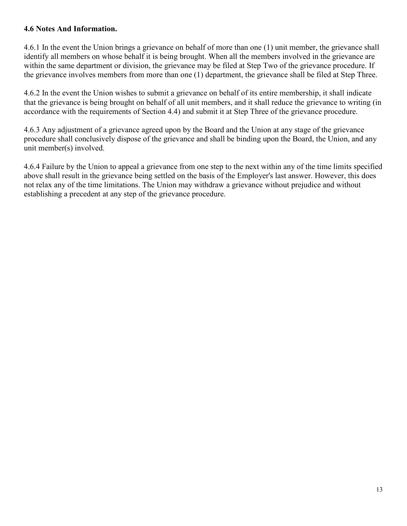#### **4.6 Notes And Information.**

4.6.1 In the event the Union brings a grievance on behalf of more than one (1) unit member, the grievance shall identify all members on whose behalf it is being brought. When all the members involved in the grievance are within the same department or division, the grievance may be filed at Step Two of the grievance procedure. If the grievance involves members from more than one (1) department, the grievance shall be filed at Step Three.

4.6.2 In the event the Union wishes to submit a grievance on behalf of its entire membership, it shall indicate that the grievance is being brought on behalf of all unit members, and it shall reduce the grievance to writing (in accordance with the requirements of Section 4.4) and submit it at Step Three of the grievance procedure.

4.6.3 Any adjustment of a grievance agreed upon by the Board and the Union at any stage of the grievance procedure shall conclusively dispose of the grievance and shall be binding upon the Board, the Union, and any unit member(s) involved.

4.6.4 Failure by the Union to appeal a grievance from one step to the next within any of the time limits specified above shall result in the grievance being settled on the basis of the Employer's last answer. However, this does not relax any of the time limitations. The Union may withdraw a grievance without prejudice and without establishing a precedent at any step of the grievance procedure.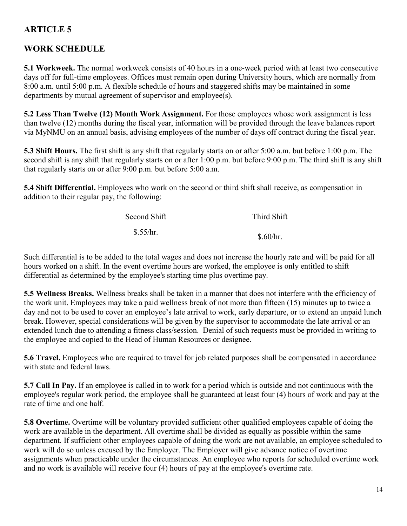# **WORK SCHEDULE**

**5.1 Workweek.** The normal workweek consists of 40 hours in a one-week period with at least two consecutive days off for full-time employees. Offices must remain open during University hours, which are normally from 8:00 a.m. until 5:00 p.m. A flexible schedule of hours and staggered shifts may be maintained in some departments by mutual agreement of supervisor and employee(s).

**5.2 Less Than Twelve (12) Month Work Assignment.** For those employees whose work assignment is less than twelve (12) months during the fiscal year, information will be provided through the leave balances report via MyNMU on an annual basis, advising employees of the number of days off contract during the fiscal year.

**5.3 Shift Hours.** The first shift is any shift that regularly starts on or after 5:00 a.m. but before 1:00 p.m. The second shift is any shift that regularly starts on or after 1:00 p.m. but before 9:00 p.m. The third shift is any shift that regularly starts on or after 9:00 p.m. but before 5:00 a.m.

**5.4 Shift Differential.** Employees who work on the second or third shift shall receive, as compensation in addition to their regular pay, the following:

| Second Shift | Third Shift |
|--------------|-------------|
| \$.55/hr.    | \$.60/hr.   |

Such differential is to be added to the total wages and does not increase the hourly rate and will be paid for all hours worked on a shift. In the event overtime hours are worked, the employee is only entitled to shift differential as determined by the employee's starting time plus overtime pay.

**5.5 Wellness Breaks.** Wellness breaks shall be taken in a manner that does not interfere with the efficiency of the work unit. Employees may take a paid wellness break of not more than fifteen (15) minutes up to twice a day and not to be used to cover an employee's late arrival to work, early departure, or to extend an unpaid lunch break. However, special considerations will be given by the supervisor to accommodate the late arrival or an extended lunch due to attending a fitness class/session. Denial of such requests must be provided in writing to the employee and copied to the Head of Human Resources or designee.

**5.6 Travel.** Employees who are required to travel for job related purposes shall be compensated in accordance with state and federal laws.

**5.7 Call In Pay.** If an employee is called in to work for a period which is outside and not continuous with the employee's regular work period, the employee shall be guaranteed at least four (4) hours of work and pay at the rate of time and one half.

**5.8 Overtime.** Overtime will be voluntary provided sufficient other qualified employees capable of doing the work are available in the department. All overtime shall be divided as equally as possible within the same department. If sufficient other employees capable of doing the work are not available, an employee scheduled to work will do so unless excused by the Employer. The Employer will give advance notice of overtime assignments when practicable under the circumstances. An employee who reports for scheduled overtime work and no work is available will receive four (4) hours of pay at the employee's overtime rate.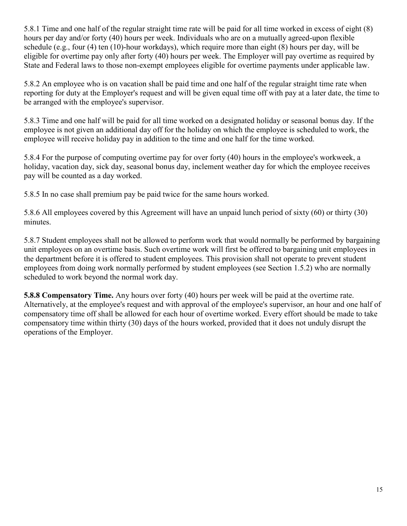5.8.1 Time and one half of the regular straight time rate will be paid for all time worked in excess of eight (8) hours per day and/or forty (40) hours per week. Individuals who are on a mutually agreed-upon flexible schedule (e.g., four (4) ten (10)-hour workdays), which require more than eight (8) hours per day, will be eligible for overtime pay only after forty (40) hours per week. The Employer will pay overtime as required by State and Federal laws to those non-exempt employees eligible for overtime payments under applicable law.

5.8.2 An employee who is on vacation shall be paid time and one half of the regular straight time rate when reporting for duty at the Employer's request and will be given equal time off with pay at a later date, the time to be arranged with the employee's supervisor.

5.8.3 Time and one half will be paid for all time worked on a designated holiday or seasonal bonus day. If the employee is not given an additional day off for the holiday on which the employee is scheduled to work, the employee will receive holiday pay in addition to the time and one half for the time worked.

5.8.4 For the purpose of computing overtime pay for over forty (40) hours in the employee's workweek, a holiday, vacation day, sick day, seasonal bonus day, inclement weather day for which the employee receives pay will be counted as a day worked.

5.8.5 In no case shall premium pay be paid twice for the same hours worked.

5.8.6 All employees covered by this Agreement will have an unpaid lunch period of sixty (60) or thirty (30) minutes.

5.8.7 Student employees shall not be allowed to perform work that would normally be performed by bargaining unit employees on an overtime basis. Such overtime work will first be offered to bargaining unit employees in the department before it is offered to student employees. This provision shall not operate to prevent student employees from doing work normally performed by student employees (see Section 1.5.2) who are normally scheduled to work beyond the normal work day.

**5.8.8 Compensatory Time.** Any hours over forty (40) hours per week will be paid at the overtime rate. Alternatively, at the employee's request and with approval of the employee's supervisor, an hour and one half of compensatory time off shall be allowed for each hour of overtime worked. Every effort should be made to take compensatory time within thirty (30) days of the hours worked, provided that it does not unduly disrupt the operations of the Employer.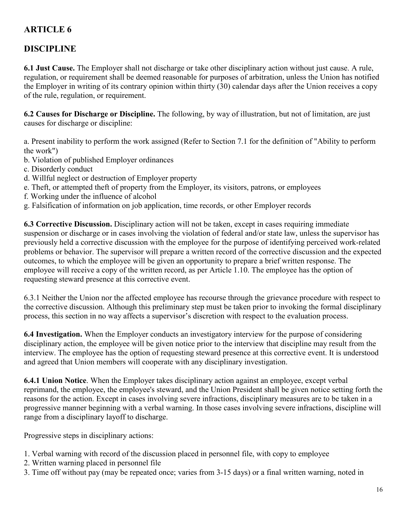# **DISCIPLINE**

**6.1 Just Cause.** The Employer shall not discharge or take other disciplinary action without just cause. A rule, regulation, or requirement shall be deemed reasonable for purposes of arbitration, unless the Union has notified the Employer in writing of its contrary opinion within thirty (30) calendar days after the Union receives a copy of the rule, regulation, or requirement.

**6.2 Causes for Discharge or Discipline.** The following, by way of illustration, but not of limitation, are just causes for discharge or discipline:

a. Present inability to perform the work assigned (Refer to Section 7.1 for the definition of "Ability to perform the work")

- b. Violation of published Employer ordinances
- c. Disorderly conduct
- d. Willful neglect or destruction of Employer property
- e. Theft, or attempted theft of property from the Employer, its visitors, patrons, or employees
- f. Working under the influence of alcohol
- g. Falsification of information on job application, time records, or other Employer records

**6.3 Corrective Discussion.** Disciplinary action will not be taken, except in cases requiring immediate suspension or discharge or in cases involving the violation of federal and/or state law, unless the supervisor has previously held a corrective discussion with the employee for the purpose of identifying perceived work-related problems or behavior. The supervisor will prepare a written record of the corrective discussion and the expected outcomes, to which the employee will be given an opportunity to prepare a brief written response. The employee will receive a copy of the written record, as per Article 1.10. The employee has the option of requesting steward presence at this corrective event.

6.3.1 Neither the Union nor the affected employee has recourse through the grievance procedure with respect to the corrective discussion. Although this preliminary step must be taken prior to invoking the formal disciplinary process, this section in no way affects a supervisor's discretion with respect to the evaluation process.

**6.4 Investigation.** When the Employer conducts an investigatory interview for the purpose of considering disciplinary action, the employee will be given notice prior to the interview that discipline may result from the interview. The employee has the option of requesting steward presence at this corrective event. It is understood and agreed that Union members will cooperate with any disciplinary investigation.

**6.4.1 Union Notice**. When the Employer takes disciplinary action against an employee, except verbal reprimand, the employee, the employee's steward, and the Union President shall be given notice setting forth the reasons for the action. Except in cases involving severe infractions, disciplinary measures are to be taken in a progressive manner beginning with a verbal warning. In those cases involving severe infractions, discipline will range from a disciplinary layoff to discharge.

Progressive steps in disciplinary actions:

- 1. Verbal warning with record of the discussion placed in personnel file, with copy to employee
- 2. Written warning placed in personnel file
- 3. Time off without pay (may be repeated once; varies from 3-15 days) or a final written warning, noted in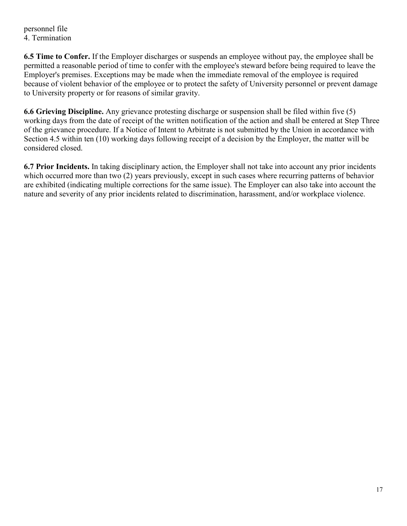personnel file 4. Termination

**6.5 Time to Confer.** If the Employer discharges or suspends an employee without pay, the employee shall be permitted a reasonable period of time to confer with the employee's steward before being required to leave the Employer's premises. Exceptions may be made when the immediate removal of the employee is required because of violent behavior of the employee or to protect the safety of University personnel or prevent damage to University property or for reasons of similar gravity.

**6.6 Grieving Discipline.** Any grievance protesting discharge or suspension shall be filed within five (5) working days from the date of receipt of the written notification of the action and shall be entered at Step Three of the grievance procedure. If a Notice of Intent to Arbitrate is not submitted by the Union in accordance with Section 4.5 within ten (10) working days following receipt of a decision by the Employer, the matter will be considered closed.

**6.7 Prior Incidents.** In taking disciplinary action, the Employer shall not take into account any prior incidents which occurred more than two (2) years previously, except in such cases where recurring patterns of behavior are exhibited (indicating multiple corrections for the same issue). The Employer can also take into account the nature and severity of any prior incidents related to discrimination, harassment, and/or workplace violence.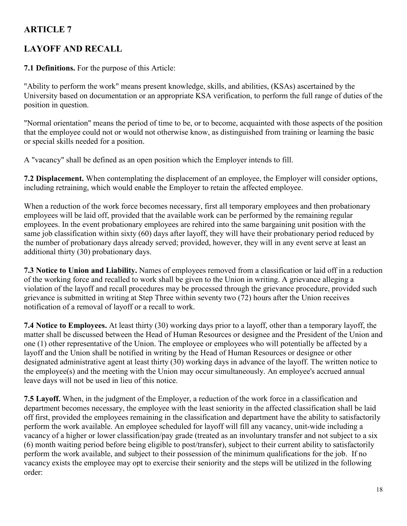# **LAYOFF AND RECALL**

**7.1 Definitions.** For the purpose of this Article:

"Ability to perform the work" means present knowledge, skills, and abilities, (KSAs) ascertained by the University based on documentation or an appropriate KSA verification, to perform the full range of duties of the position in question.

"Normal orientation" means the period of time to be, or to become, acquainted with those aspects of the position that the employee could not or would not otherwise know, as distinguished from training or learning the basic or special skills needed for a position.

A "vacancy" shall be defined as an open position which the Employer intends to fill.

**7.2 Displacement.** When contemplating the displacement of an employee, the Employer will consider options, including retraining, which would enable the Employer to retain the affected employee.

When a reduction of the work force becomes necessary, first all temporary employees and then probationary employees will be laid off, provided that the available work can be performed by the remaining regular employees. In the event probationary employees are rehired into the same bargaining unit position with the same job classification within sixty (60) days after layoff, they will have their probationary period reduced by the number of probationary days already served; provided, however, they will in any event serve at least an additional thirty (30) probationary days.

**7.3 Notice to Union and Liability.** Names of employees removed from a classification or laid off in a reduction of the working force and recalled to work shall be given to the Union in writing. A grievance alleging a violation of the layoff and recall procedures may be processed through the grievance procedure, provided such grievance is submitted in writing at Step Three within seventy two (72) hours after the Union receives notification of a removal of layoff or a recall to work.

**7.4 Notice to Employees.** At least thirty (30) working days prior to a layoff, other than a temporary layoff, the matter shall be discussed between the Head of Human Resources or designee and the President of the Union and one (1) other representative of the Union. The employee or employees who will potentially be affected by a layoff and the Union shall be notified in writing by the Head of Human Resources or designee or other designated administrative agent at least thirty (30) working days in advance of the layoff. The written notice to the employee(s) and the meeting with the Union may occur simultaneously. An employee's accrued annual leave days will not be used in lieu of this notice.

**7.5 Layoff.** When, in the judgment of the Employer, a reduction of the work force in a classification and department becomes necessary, the employee with the least seniority in the affected classification shall be laid off first, provided the employees remaining in the classification and department have the ability to satisfactorily perform the work available. An employee scheduled for layoff will fill any vacancy, unit-wide including a vacancy of a higher or lower classification/pay grade (treated as an involuntary transfer and not subject to a six (6) month waiting period before being eligible to post/transfer), subject to their current ability to satisfactorily perform the work available, and subject to their possession of the minimum qualifications for the job. If no vacancy exists the employee may opt to exercise their seniority and the steps will be utilized in the following order: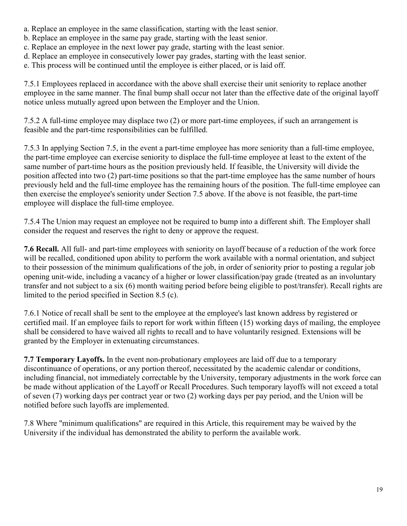- a. Replace an employee in the same classification, starting with the least senior.
- b. Replace an employee in the same pay grade, starting with the least senior.
- c. Replace an employee in the next lower pay grade, starting with the least senior.
- d. Replace an employee in consecutively lower pay grades, starting with the least senior.
- e. This process will be continued until the employee is either placed, or is laid off.

7.5.1 Employees replaced in accordance with the above shall exercise their unit seniority to replace another employee in the same manner. The final bump shall occur not later than the effective date of the original layoff notice unless mutually agreed upon between the Employer and the Union.

7.5.2 A full-time employee may displace two (2) or more part-time employees, if such an arrangement is feasible and the part-time responsibilities can be fulfilled.

7.5.3 In applying Section 7.5, in the event a part-time employee has more seniority than a full-time employee, the part-time employee can exercise seniority to displace the full-time employee at least to the extent of the same number of part-time hours as the position previously held. If feasible, the University will divide the position affected into two (2) part-time positions so that the part-time employee has the same number of hours previously held and the full-time employee has the remaining hours of the position. The full-time employee can then exercise the employee's seniority under Section 7.5 above. If the above is not feasible, the part-time employee will displace the full-time employee.

7.5.4 The Union may request an employee not be required to bump into a different shift. The Employer shall consider the request and reserves the right to deny or approve the request.

**7.6 Recall.** All full- and part-time employees with seniority on layoff because of a reduction of the work force will be recalled, conditioned upon ability to perform the work available with a normal orientation, and subject to their possession of the minimum qualifications of the job, in order of seniority prior to posting a regular job opening unit-wide, including a vacancy of a higher or lower classification/pay grade (treated as an involuntary transfer and not subject to a six (6) month waiting period before being eligible to post/transfer). Recall rights are limited to the period specified in Section 8.5 (c).

7.6.1 Notice of recall shall be sent to the employee at the employee's last known address by registered or certified mail. If an employee fails to report for work within fifteen (15) working days of mailing, the employee shall be considered to have waived all rights to recall and to have voluntarily resigned. Extensions will be granted by the Employer in extenuating circumstances.

**7.7 Temporary Layoffs.** In the event non-probationary employees are laid off due to a temporary discontinuance of operations, or any portion thereof, necessitated by the academic calendar or conditions, including financial, not immediately correctable by the University, temporary adjustments in the work force can be made without application of the Layoff or Recall Procedures. Such temporary layoffs will not exceed a total of seven (7) working days per contract year or two (2) working days per pay period, and the Union will be notified before such layoffs are implemented.

7.8 Where "minimum qualifications" are required in this Article, this requirement may be waived by the University if the individual has demonstrated the ability to perform the available work.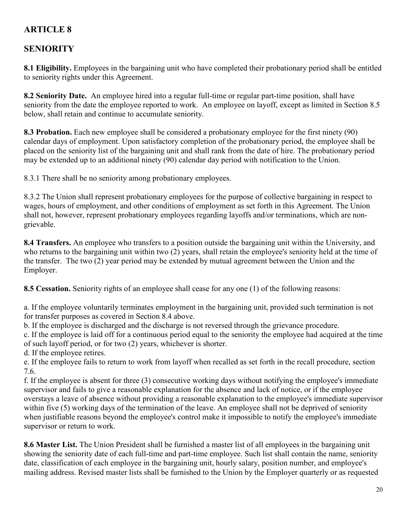## **SENIORITY**

**8.1 Eligibility.** Employees in the bargaining unit who have completed their probationary period shall be entitled to seniority rights under this Agreement.

**8.2 Seniority Date.** An employee hired into a regular full-time or regular part-time position, shall have seniority from the date the employee reported to work. An employee on layoff, except as limited in Section 8.5 below, shall retain and continue to accumulate seniority.

**8.3 Probation.** Each new employee shall be considered a probationary employee for the first ninety (90) calendar days of employment. Upon satisfactory completion of the probationary period, the employee shall be placed on the seniority list of the bargaining unit and shall rank from the date of hire. The probationary period may be extended up to an additional ninety (90) calendar day period with notification to the Union.

8.3.1 There shall be no seniority among probationary employees.

8.3.2 The Union shall represent probationary employees for the purpose of collective bargaining in respect to wages, hours of employment, and other conditions of employment as set forth in this Agreement. The Union shall not, however, represent probationary employees regarding layoffs and/or terminations, which are nongrievable.

**8.4 Transfers.** An employee who transfers to a position outside the bargaining unit within the University, and who returns to the bargaining unit within two (2) years, shall retain the employee's seniority held at the time of the transfer. The two (2) year period may be extended by mutual agreement between the Union and the Employer.

**8.5 Cessation.** Seniority rights of an employee shall cease for any one (1) of the following reasons:

a. If the employee voluntarily terminates employment in the bargaining unit, provided such termination is not for transfer purposes as covered in Section 8.4 above.

b. If the employee is discharged and the discharge is not reversed through the grievance procedure.

c. If the employee is laid off for a continuous period equal to the seniority the employee had acquired at the time of such layoff period, or for two (2) years, whichever is shorter.

d. If the employee retires.

e. If the employee fails to return to work from layoff when recalled as set forth in the recall procedure, section 7.6.

f. If the employee is absent for three (3) consecutive working days without notifying the employee's immediate supervisor and fails to give a reasonable explanation for the absence and lack of notice, or if the employee overstays a leave of absence without providing a reasonable explanation to the employee's immediate supervisor within five (5) working days of the termination of the leave. An employee shall not be deprived of seniority when justifiable reasons beyond the employee's control make it impossible to notify the employee's immediate supervisor or return to work.

**8.6 Master List.** The Union President shall be furnished a master list of all employees in the bargaining unit showing the seniority date of each full-time and part-time employee. Such list shall contain the name, seniority date, classification of each employee in the bargaining unit, hourly salary, position number, and employee's mailing address. Revised master lists shall be furnished to the Union by the Employer quarterly or as requested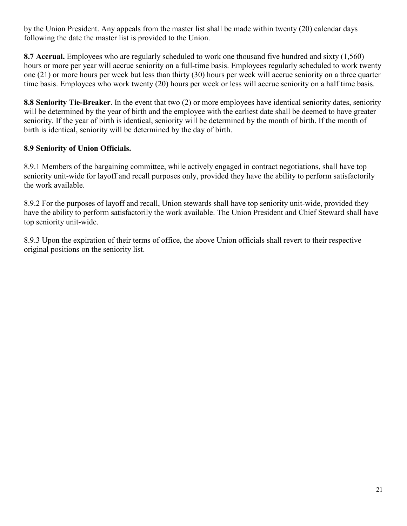by the Union President. Any appeals from the master list shall be made within twenty (20) calendar days following the date the master list is provided to the Union.

**8.7 Accrual.** Employees who are regularly scheduled to work one thousand five hundred and sixty (1,560) hours or more per year will accrue seniority on a full-time basis. Employees regularly scheduled to work twenty one (21) or more hours per week but less than thirty (30) hours per week will accrue seniority on a three quarter time basis. Employees who work twenty (20) hours per week or less will accrue seniority on a half time basis.

**8.8 Seniority Tie-Breaker**. In the event that two (2) or more employees have identical seniority dates, seniority will be determined by the year of birth and the employee with the earliest date shall be deemed to have greater seniority. If the year of birth is identical, seniority will be determined by the month of birth. If the month of birth is identical, seniority will be determined by the day of birth.

#### **8.9 Seniority of Union Officials.**

8.9.1 Members of the bargaining committee, while actively engaged in contract negotiations, shall have top seniority unit-wide for layoff and recall purposes only, provided they have the ability to perform satisfactorily the work available.

8.9.2 For the purposes of layoff and recall, Union stewards shall have top seniority unit-wide, provided they have the ability to perform satisfactorily the work available. The Union President and Chief Steward shall have top seniority unit-wide.

8.9.3 Upon the expiration of their terms of office, the above Union officials shall revert to their respective original positions on the seniority list.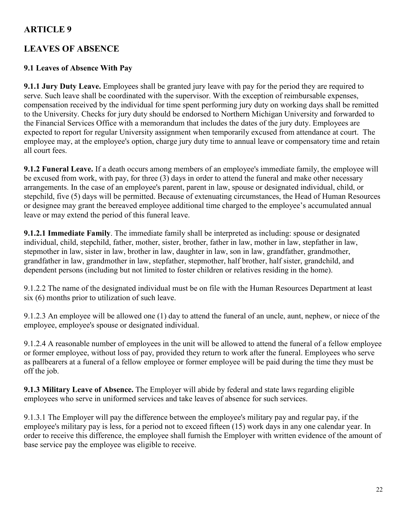## **LEAVES OF ABSENCE**

### **9.1 Leaves of Absence With Pay**

**9.1.1 Jury Duty Leave.** Employees shall be granted jury leave with pay for the period they are required to serve. Such leave shall be coordinated with the supervisor. With the exception of reimbursable expenses, compensation received by the individual for time spent performing jury duty on working days shall be remitted to the University. Checks for jury duty should be endorsed to Northern Michigan University and forwarded to the Financial Services Office with a memorandum that includes the dates of the jury duty. Employees are expected to report for regular University assignment when temporarily excused from attendance at court. The employee may, at the employee's option, charge jury duty time to annual leave or compensatory time and retain all court fees.

**9.1.2 Funeral Leave.** If a death occurs among members of an employee's immediate family, the employee will be excused from work, with pay, for three (3) days in order to attend the funeral and make other necessary arrangements. In the case of an employee's parent, parent in law, spouse or designated individual, child, or stepchild, five (5) days will be permitted. Because of extenuating circumstances, the Head of Human Resources or designee may grant the bereaved employee additional time charged to the employee's accumulated annual leave or may extend the period of this funeral leave.

**9.1.2.1 Immediate Family**. The immediate family shall be interpreted as including: spouse or designated individual, child, stepchild, father, mother, sister, brother, father in law, mother in law, stepfather in law, stepmother in law, sister in law, brother in law, daughter in law, son in law, grandfather, grandmother, grandfather in law, grandmother in law, stepfather, stepmother, half brother, half sister, grandchild, and dependent persons (including but not limited to foster children or relatives residing in the home).

9.1.2.2 The name of the designated individual must be on file with the Human Resources Department at least six (6) months prior to utilization of such leave.

9.1.2.3 An employee will be allowed one (1) day to attend the funeral of an uncle, aunt, nephew, or niece of the employee, employee's spouse or designated individual.

9.1.2.4 A reasonable number of employees in the unit will be allowed to attend the funeral of a fellow employee or former employee, without loss of pay, provided they return to work after the funeral. Employees who serve as pallbearers at a funeral of a fellow employee or former employee will be paid during the time they must be off the job.

**9.1.3 Military Leave of Absence.** The Employer will abide by federal and state laws regarding eligible employees who serve in uniformed services and take leaves of absence for such services.

9.1.3.1 The Employer will pay the difference between the employee's military pay and regular pay, if the employee's military pay is less, for a period not to exceed fifteen (15) work days in any one calendar year. In order to receive this difference, the employee shall furnish the Employer with written evidence of the amount of base service pay the employee was eligible to receive.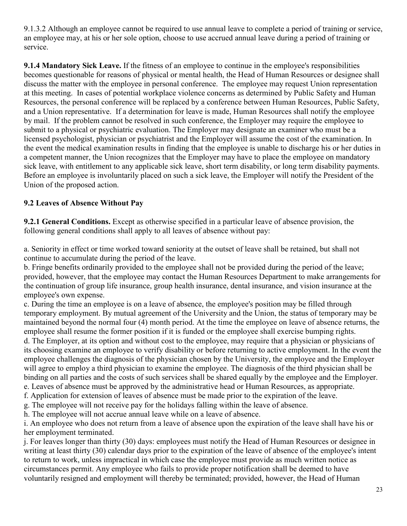9.1.3.2 Although an employee cannot be required to use annual leave to complete a period of training or service, an employee may, at his or her sole option, choose to use accrued annual leave during a period of training or service.

**9.1.4 Mandatory Sick Leave.** If the fitness of an employee to continue in the employee's responsibilities becomes questionable for reasons of physical or mental health, the Head of Human Resources or designee shall discuss the matter with the employee in personal conference. The employee may request Union representation at this meeting. In cases of potential workplace violence concerns as determined by Public Safety and Human Resources, the personal conference will be replaced by a conference between Human Resources, Public Safety, and a Union representative. If a determination for leave is made, Human Resources shall notify the employee by mail. If the problem cannot be resolved in such conference, the Employer may require the employee to submit to a physical or psychiatric evaluation. The Employer may designate an examiner who must be a licensed psychologist, physician or psychiatrist and the Employer will assume the cost of the examination. In the event the medical examination results in finding that the employee is unable to discharge his or her duties in a competent manner, the Union recognizes that the Employer may have to place the employee on mandatory sick leave, with entitlement to any applicable sick leave, short term disability, or long term disability payments. Before an employee is involuntarily placed on such a sick leave, the Employer will notify the President of the Union of the proposed action.

## **9.2 Leaves of Absence Without Pay**

**9.2.1 General Conditions.** Except as otherwise specified in a particular leave of absence provision, the following general conditions shall apply to all leaves of absence without pay:

a. Seniority in effect or time worked toward seniority at the outset of leave shall be retained, but shall not continue to accumulate during the period of the leave.

b. Fringe benefits ordinarily provided to the employee shall not be provided during the period of the leave; provided, however, that the employee may contact the Human Resources Department to make arrangements for the continuation of group life insurance, group health insurance, dental insurance, and vision insurance at the employee's own expense.

c. During the time an employee is on a leave of absence, the employee's position may be filled through temporary employment. By mutual agreement of the University and the Union, the status of temporary may be maintained beyond the normal four (4) month period. At the time the employee on leave of absence returns, the employee shall resume the former position if it is funded or the employee shall exercise bumping rights.

d. The Employer, at its option and without cost to the employee, may require that a physician or physicians of its choosing examine an employee to verify disability or before returning to active employment. In the event the employee challenges the diagnosis of the physician chosen by the University, the employee and the Employer will agree to employ a third physician to examine the employee. The diagnosis of the third physician shall be binding on all parties and the costs of such services shall be shared equally by the employee and the Employer. e. Leaves of absence must be approved by the administrative head or Human Resources, as appropriate.

f. Application for extension of leaves of absence must be made prior to the expiration of the leave.

g. The employee will not receive pay for the holidays falling within the leave of absence.

h. The employee will not accrue annual leave while on a leave of absence.

i. An employee who does not return from a leave of absence upon the expiration of the leave shall have his or her employment terminated.

j. For leaves longer than thirty (30) days: employees must notify the Head of Human Resources or designee in writing at least thirty (30) calendar days prior to the expiration of the leave of absence of the employee's intent to return to work, unless impractical in which case the employee must provide as much written notice as circumstances permit. Any employee who fails to provide proper notification shall be deemed to have voluntarily resigned and employment will thereby be terminated; provided, however, the Head of Human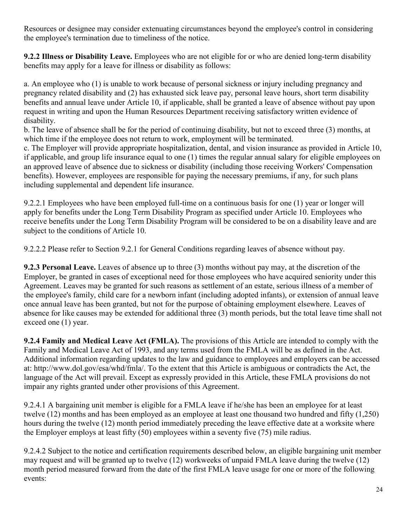Resources or designee may consider extenuating circumstances beyond the employee's control in considering the employee's termination due to timeliness of the notice.

**9.2.2 Illness or Disability Leave.** Employees who are not eligible for or who are denied long-term disability benefits may apply for a leave for illness or disability as follows:

a. An employee who (1) is unable to work because of personal sickness or injury including pregnancy and pregnancy related disability and (2) has exhausted sick leave pay, personal leave hours, short term disability benefits and annual leave under Article 10, if applicable, shall be granted a leave of absence without pay upon request in writing and upon the Human Resources Department receiving satisfactory written evidence of disability.

b. The leave of absence shall be for the period of continuing disability, but not to exceed three (3) months, at which time if the employee does not return to work, employment will be terminated.

c. The Employer will provide appropriate hospitalization, dental, and vision insurance as provided in Article 10, if applicable, and group life insurance equal to one (1) times the regular annual salary for eligible employees on an approved leave of absence due to sickness or disability (including those receiving Workers' Compensation benefits). However, employees are responsible for paying the necessary premiums, if any, for such plans including supplemental and dependent life insurance.

9.2.2.1 Employees who have been employed full-time on a continuous basis for one (1) year or longer will apply for benefits under the Long Term Disability Program as specified under Article 10. Employees who receive benefits under the Long Term Disability Program will be considered to be on a disability leave and are subject to the conditions of Article 10.

9.2.2.2 Please refer to Section 9.2.1 for General Conditions regarding leaves of absence without pay.

**9.2.3 Personal Leave.** Leaves of absence up to three (3) months without pay may, at the discretion of the Employer, be granted in cases of exceptional need for those employees who have acquired seniority under this Agreement. Leaves may be granted for such reasons as settlement of an estate, serious illness of a member of the employee's family, child care for a newborn infant (including adopted infants), or extension of annual leave once annual leave has been granted, but not for the purpose of obtaining employment elsewhere. Leaves of absence for like causes may be extended for additional three (3) month periods, but the total leave time shall not exceed one (1) year.

**9.2.4 Family and Medical Leave Act (FMLA).** The provisions of this Article are intended to comply with the Family and Medical Leave Act of 1993, and any terms used from the FMLA will be as defined in the Act. Additional information regarding updates to the law and guidance to employees and employers can be accessed at: http://www.dol.gov/esa/whd/fmla/. To the extent that this Article is ambiguous or contradicts the Act, the language of the Act will prevail. Except as expressly provided in this Article, these FMLA provisions do not impair any rights granted under other provisions of this Agreement.

9.2.4.1 A bargaining unit member is eligible for a FMLA leave if he/she has been an employee for at least twelve (12) months and has been employed as an employee at least one thousand two hundred and fifty (1,250) hours during the twelve (12) month period immediately preceding the leave effective date at a worksite where the Employer employs at least fifty (50) employees within a seventy five (75) mile radius.

9.2.4.2 Subject to the notice and certification requirements described below, an eligible bargaining unit member may request and will be granted up to twelve (12) workweeks of unpaid FMLA leave during the twelve (12) month period measured forward from the date of the first FMLA leave usage for one or more of the following events: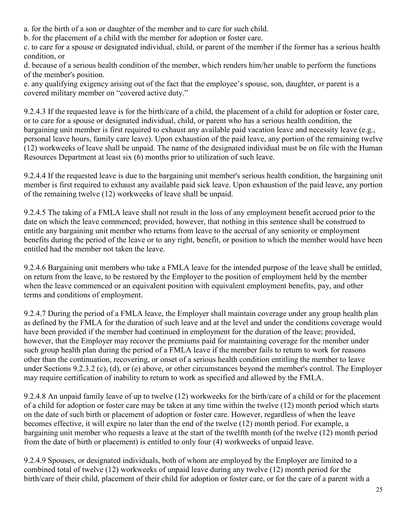a. for the birth of a son or daughter of the member and to care for such child.

b. for the placement of a child with the member for adoption or foster care.

c. to care for a spouse or designated individual, child, or parent of the member if the former has a serious health condition, or

d. because of a serious health condition of the member, which renders him/her unable to perform the functions of the member's position.

e. any qualifying exigency arising out of the fact that the employee's spouse, son, daughter, or parent is a covered military member on "covered active duty."

9.2.4.3 If the requested leave is for the birth/care of a child, the placement of a child for adoption or foster care, or to care for a spouse or designated individual, child, or parent who has a serious health condition, the bargaining unit member is first required to exhaust any available paid vacation leave and necessity leave (e.g., personal leave hours, family care leave). Upon exhaustion of the paid leave, any portion of the remaining twelve (12) workweeks of leave shall be unpaid. The name of the designated individual must be on file with the Human Resources Department at least six (6) months prior to utilization of such leave.

9.2.4.4 If the requested leave is due to the bargaining unit member's serious health condition, the bargaining unit member is first required to exhaust any available paid sick leave. Upon exhaustion of the paid leave, any portion of the remaining twelve (12) workweeks of leave shall be unpaid.

9.2.4.5 The taking of a FMLA leave shall not result in the loss of any employment benefit accrued prior to the date on which the leave commenced; provided, however, that nothing in this sentence shall be construed to entitle any bargaining unit member who returns from leave to the accrual of any seniority or employment benefits during the period of the leave or to any right, benefit, or position to which the member would have been entitled had the member not taken the leave.

9.2.4.6 Bargaining unit members who take a FMLA leave for the intended purpose of the leave shall be entitled, on return from the leave, to be restored by the Employer to the position of employment held by the member when the leave commenced or an equivalent position with equivalent employment benefits, pay, and other terms and conditions of employment.

9.2.4.7 During the period of a FMLA leave, the Employer shall maintain coverage under any group health plan as defined by the FMLA for the duration of such leave and at the level and under the conditions coverage would have been provided if the member had continued in employment for the duration of the leave; provided, however, that the Employer may recover the premiums paid for maintaining coverage for the member under such group health plan during the period of a FMLA leave if the member fails to return to work for reasons other than the continuation, recovering, or onset of a serious health condition entitling the member to leave under Sections 9.2.3.2 (c), (d), or (e) above, or other circumstances beyond the member's control. The Employer may require certification of inability to return to work as specified and allowed by the FMLA.

9.2.4.8 An unpaid family leave of up to twelve (12) workweeks for the birth/care of a child or for the placement of a child for adoption or foster care may be taken at any time within the twelve (12) month period which starts on the date of such birth or placement of adoption or foster care. However, regardless of when the leave becomes effective, it will expire no later than the end of the twelve (12) month period. For example, a bargaining unit member who requests a leave at the start of the twelfth month (of the twelve (12) month period from the date of birth or placement) is entitled to only four (4) workweeks of unpaid leave.

9.2.4.9 Spouses, or designated individuals, both of whom are employed by the Employer are limited to a combined total of twelve (12) workweeks of unpaid leave during any twelve (12) month period for the birth/care of their child, placement of their child for adoption or foster care, or for the care of a parent with a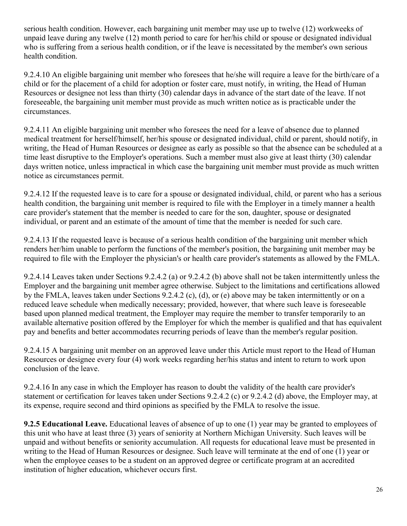serious health condition. However, each bargaining unit member may use up to twelve (12) workweeks of unpaid leave during any twelve (12) month period to care for her/his child or spouse or designated individual who is suffering from a serious health condition, or if the leave is necessitated by the member's own serious health condition.

9.2.4.10 An eligible bargaining unit member who foresees that he/she will require a leave for the birth/care of a child or for the placement of a child for adoption or foster care, must notify, in writing, the Head of Human Resources or designee not less than thirty (30) calendar days in advance of the start date of the leave. If not foreseeable, the bargaining unit member must provide as much written notice as is practicable under the circumstances.

9.2.4.11 An eligible bargaining unit member who foresees the need for a leave of absence due to planned medical treatment for herself/himself, her/his spouse or designated individual, child or parent, should notify, in writing, the Head of Human Resources or designee as early as possible so that the absence can be scheduled at a time least disruptive to the Employer's operations. Such a member must also give at least thirty (30) calendar days written notice, unless impractical in which case the bargaining unit member must provide as much written notice as circumstances permit.

9.2.4.12 If the requested leave is to care for a spouse or designated individual, child, or parent who has a serious health condition, the bargaining unit member is required to file with the Employer in a timely manner a health care provider's statement that the member is needed to care for the son, daughter, spouse or designated individual, or parent and an estimate of the amount of time that the member is needed for such care.

9.2.4.13 If the requested leave is because of a serious health condition of the bargaining unit member which renders her/him unable to perform the functions of the member's position, the bargaining unit member may be required to file with the Employer the physician's or health care provider's statements as allowed by the FMLA.

9.2.4.14 Leaves taken under Sections 9.2.4.2 (a) or 9.2.4.2 (b) above shall not be taken intermittently unless the Employer and the bargaining unit member agree otherwise. Subject to the limitations and certifications allowed by the FMLA, leaves taken under Sections 9.2.4.2 (c), (d), or (e) above may be taken intermittently or on a reduced leave schedule when medically necessary; provided, however, that where such leave is foreseeable based upon planned medical treatment, the Employer may require the member to transfer temporarily to an available alternative position offered by the Employer for which the member is qualified and that has equivalent pay and benefits and better accommodates recurring periods of leave than the member's regular position.

9.2.4.15 A bargaining unit member on an approved leave under this Article must report to the Head of Human Resources or designee every four (4) work weeks regarding her/his status and intent to return to work upon conclusion of the leave.

9.2.4.16 In any case in which the Employer has reason to doubt the validity of the health care provider's statement or certification for leaves taken under Sections 9.2.4.2 (c) or 9.2.4.2 (d) above, the Employer may, at its expense, require second and third opinions as specified by the FMLA to resolve the issue.

**9.2.5 Educational Leave.** Educational leaves of absence of up to one (1) year may be granted to employees of this unit who have at least three (3) years of seniority at Northern Michigan University. Such leaves will be unpaid and without benefits or seniority accumulation. All requests for educational leave must be presented in writing to the Head of Human Resources or designee. Such leave will terminate at the end of one (1) year or when the employee ceases to be a student on an approved degree or certificate program at an accredited institution of higher education, whichever occurs first.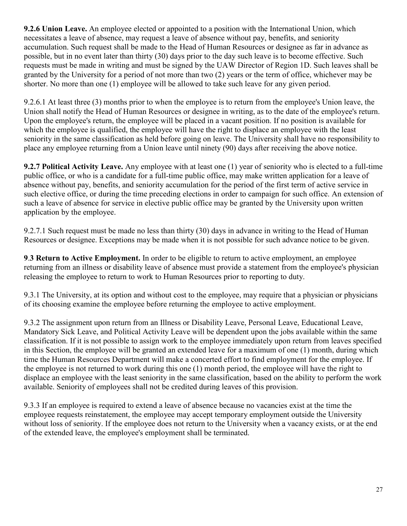**9.2.6 Union Leave.** An employee elected or appointed to a position with the International Union, which necessitates a leave of absence, may request a leave of absence without pay, benefits, and seniority accumulation. Such request shall be made to the Head of Human Resources or designee as far in advance as possible, but in no event later than thirty (30) days prior to the day such leave is to become effective. Such requests must be made in writing and must be signed by the UAW Director of Region 1D. Such leaves shall be granted by the University for a period of not more than two (2) years or the term of office, whichever may be shorter. No more than one (1) employee will be allowed to take such leave for any given period.

9.2.6.1 At least three (3) months prior to when the employee is to return from the employee's Union leave, the Union shall notify the Head of Human Resources or designee in writing, as to the date of the employee's return. Upon the employee's return, the employee will be placed in a vacant position. If no position is available for which the employee is qualified, the employee will have the right to displace an employee with the least seniority in the same classification as held before going on leave. The University shall have no responsibility to place any employee returning from a Union leave until ninety (90) days after receiving the above notice.

**9.2.7 Political Activity Leave.** Any employee with at least one (1) year of seniority who is elected to a full-time public office, or who is a candidate for a full-time public office, may make written application for a leave of absence without pay, benefits, and seniority accumulation for the period of the first term of active service in such elective office, or during the time preceding elections in order to campaign for such office. An extension of such a leave of absence for service in elective public office may be granted by the University upon written application by the employee.

9.2.7.1 Such request must be made no less than thirty (30) days in advance in writing to the Head of Human Resources or designee. Exceptions may be made when it is not possible for such advance notice to be given.

**9**.**3 Return to Active Employment.** In order to be eligible to return to active employment, an employee returning from an illness or disability leave of absence must provide a statement from the employee's physician releasing the employee to return to work to Human Resources prior to reporting to duty.

9.3.1 The University, at its option and without cost to the employee, may require that a physician or physicians of its choosing examine the employee before returning the employee to active employment.

9.3.2 The assignment upon return from an Illness or Disability Leave, Personal Leave, Educational Leave, Mandatory Sick Leave, and Political Activity Leave will be dependent upon the jobs available within the same classification. If it is not possible to assign work to the employee immediately upon return from leaves specified in this Section, the employee will be granted an extended leave for a maximum of one (1) month, during which time the Human Resources Department will make a concerted effort to find employment for the employee. If the employee is not returned to work during this one (1) month period, the employee will have the right to displace an employee with the least seniority in the same classification, based on the ability to perform the work available. Seniority of employees shall not be credited during leaves of this provision.

9.3.3 If an employee is required to extend a leave of absence because no vacancies exist at the time the employee requests reinstatement, the employee may accept temporary employment outside the University without loss of seniority. If the employee does not return to the University when a vacancy exists, or at the end of the extended leave, the employee's employment shall be terminated.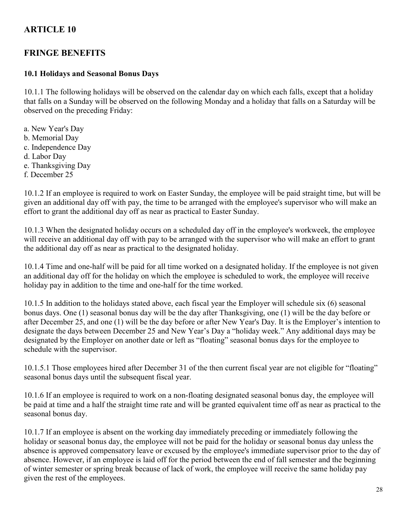## **FRINGE BENEFITS**

#### **10.1 Holidays and Seasonal Bonus Days**

10.1.1 The following holidays will be observed on the calendar day on which each falls, except that a holiday that falls on a Sunday will be observed on the following Monday and a holiday that falls on a Saturday will be observed on the preceding Friday:

a. New Year's Day b. Memorial Day c. Independence Day d. Labor Day e. Thanksgiving Day f. December 25

10.1.2 If an employee is required to work on Easter Sunday, the employee will be paid straight time, but will be given an additional day off with pay, the time to be arranged with the employee's supervisor who will make an effort to grant the additional day off as near as practical to Easter Sunday.

10.1.3 When the designated holiday occurs on a scheduled day off in the employee's workweek, the employee will receive an additional day off with pay to be arranged with the supervisor who will make an effort to grant the additional day off as near as practical to the designated holiday.

10.1.4 Time and one-half will be paid for all time worked on a designated holiday. If the employee is not given an additional day off for the holiday on which the employee is scheduled to work, the employee will receive holiday pay in addition to the time and one-half for the time worked.

10.1.5 In addition to the holidays stated above, each fiscal year the Employer will schedule six (6) seasonal bonus days. One (1) seasonal bonus day will be the day after Thanksgiving, one (1) will be the day before or after December 25, and one (1) will be the day before or after New Year's Day. It is the Employer's intention to designate the days between December 25 and New Year's Day a "holiday week." Any additional days may be designated by the Employer on another date or left as "floating" seasonal bonus days for the employee to schedule with the supervisor.

10.1.5.1 Those employees hired after December 31 of the then current fiscal year are not eligible for "floating" seasonal bonus days until the subsequent fiscal year.

10.1.6 If an employee is required to work on a non-floating designated seasonal bonus day, the employee will be paid at time and a half the straight time rate and will be granted equivalent time off as near as practical to the seasonal bonus day.

10.1.7 If an employee is absent on the working day immediately preceding or immediately following the holiday or seasonal bonus day, the employee will not be paid for the holiday or seasonal bonus day unless the absence is approved compensatory leave or excused by the employee's immediate supervisor prior to the day of absence. However, if an employee is laid off for the period between the end of fall semester and the beginning of winter semester or spring break because of lack of work, the employee will receive the same holiday pay given the rest of the employees.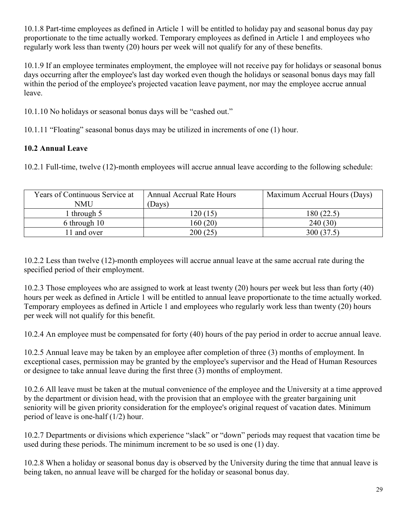10.1.8 Part-time employees as defined in Article 1 will be entitled to holiday pay and seasonal bonus day pay proportionate to the time actually worked. Temporary employees as defined in Article 1 and employees who regularly work less than twenty (20) hours per week will not qualify for any of these benefits.

10.1.9 If an employee terminates employment, the employee will not receive pay for holidays or seasonal bonus days occurring after the employee's last day worked even though the holidays or seasonal bonus days may fall within the period of the employee's projected vacation leave payment, nor may the employee accrue annual leave.

10.1.10 No holidays or seasonal bonus days will be "cashed out."

10.1.11 "Floating" seasonal bonus days may be utilized in increments of one (1) hour.

## **10.2 Annual Leave**

10.2.1 Full-time, twelve (12)-month employees will accrue annual leave according to the following schedule:

| Years of Continuous Service at | <b>Annual Accrual Rate Hours</b> | Maximum Accrual Hours (Days) |
|--------------------------------|----------------------------------|------------------------------|
| NMU                            | (Days)                           |                              |
| through 5                      | 120 (15)                         | 180(22.5)                    |
| 6 through 10                   | 160 (20)                         | 240(30)                      |
| 1 and over                     | 200(25)                          | 300(37.5)                    |

10.2.2 Less than twelve (12)-month employees will accrue annual leave at the same accrual rate during the specified period of their employment.

10.2.3 Those employees who are assigned to work at least twenty (20) hours per week but less than forty (40) hours per week as defined in Article 1 will be entitled to annual leave proportionate to the time actually worked. Temporary employees as defined in Article 1 and employees who regularly work less than twenty (20) hours per week will not qualify for this benefit.

10.2.4 An employee must be compensated for forty (40) hours of the pay period in order to accrue annual leave.

10.2.5 Annual leave may be taken by an employee after completion of three (3) months of employment. In exceptional cases, permission may be granted by the employee's supervisor and the Head of Human Resources or designee to take annual leave during the first three (3) months of employment.

10.2.6 All leave must be taken at the mutual convenience of the employee and the University at a time approved by the department or division head, with the provision that an employee with the greater bargaining unit seniority will be given priority consideration for the employee's original request of vacation dates. Minimum period of leave is one-half (1/2) hour.

10.2.7 Departments or divisions which experience "slack" or "down" periods may request that vacation time be used during these periods. The minimum increment to be so used is one (1) day.

10.2.8 When a holiday or seasonal bonus day is observed by the University during the time that annual leave is being taken, no annual leave will be charged for the holiday or seasonal bonus day.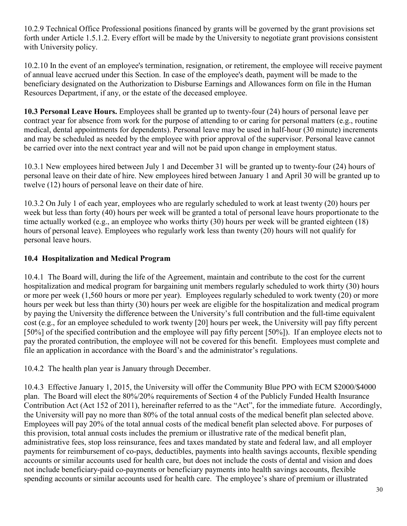10.2.9 Technical Office Professional positions financed by grants will be governed by the grant provisions set forth under Article 1.5.1.2. Every effort will be made by the University to negotiate grant provisions consistent with University policy.

10.2.10 In the event of an employee's termination, resignation, or retirement, the employee will receive payment of annual leave accrued under this Section. In case of the employee's death, payment will be made to the beneficiary designated on the Authorization to Disburse Earnings and Allowances form on file in the Human Resources Department, if any, or the estate of the deceased employee.

**10.3 Personal Leave Hours.** Employees shall be granted up to twenty-four (24) hours of personal leave per contract year for absence from work for the purpose of attending to or caring for personal matters (e.g., routine medical, dental appointments for dependents). Personal leave may be used in half-hour (30 minute) increments and may be scheduled as needed by the employee with prior approval of the supervisor. Personal leave cannot be carried over into the next contract year and will not be paid upon change in employment status.

10.3.1 New employees hired between July 1 and December 31 will be granted up to twenty-four (24) hours of personal leave on their date of hire. New employees hired between January 1 and April 30 will be granted up to twelve (12) hours of personal leave on their date of hire.

10.3.2 On July 1 of each year, employees who are regularly scheduled to work at least twenty (20) hours per week but less than forty (40) hours per week will be granted a total of personal leave hours proportionate to the time actually worked (e.g., an employee who works thirty (30) hours per week will be granted eighteen (18) hours of personal leave). Employees who regularly work less than twenty (20) hours will not qualify for personal leave hours.

### **10.4 Hospitalization and Medical Program**

10.4.1 The Board will, during the life of the Agreement, maintain and contribute to the cost for the current hospitalization and medical program for bargaining unit members regularly scheduled to work thirty (30) hours or more per week (1,560 hours or more per year). Employees regularly scheduled to work twenty (20) or more hours per week but less than thirty (30) hours per week are eligible for the hospitalization and medical program by paying the University the difference between the University's full contribution and the full-time equivalent cost (e.g., for an employee scheduled to work twenty [20] hours per week, the University will pay fifty percent [50%] of the specified contribution and the employee will pay fifty percent [50%]). If an employee elects not to pay the prorated contribution, the employee will not be covered for this benefit. Employees must complete and file an application in accordance with the Board's and the administrator's regulations.

10.4.2 The health plan year is January through December.

10.4.3 Effective January 1, 2015, the University will offer the Community Blue PPO with ECM \$2000/\$4000 plan. The Board will elect the 80%/20% requirements of Section 4 of the Publicly Funded Health Insurance Contribution Act (Act 152 of 2011), hereinafter referred to as the "Act", for the immediate future. Accordingly, the University will pay no more than 80% of the total annual costs of the medical benefit plan selected above. Employees will pay 20% of the total annual costs of the medical benefit plan selected above. For purposes of this provision, total annual costs includes the premium or illustrative rate of the medical benefit plan, administrative fees, stop loss reinsurance, fees and taxes mandated by state and federal law, and all employer payments for reimbursement of co-pays, deductibles, payments into health savings accounts, flexible spending accounts or similar accounts used for health care, but does not include the costs of dental and vision and does not include beneficiary-paid co-payments or beneficiary payments into health savings accounts, flexible spending accounts or similar accounts used for health care. The employee's share of premium or illustrated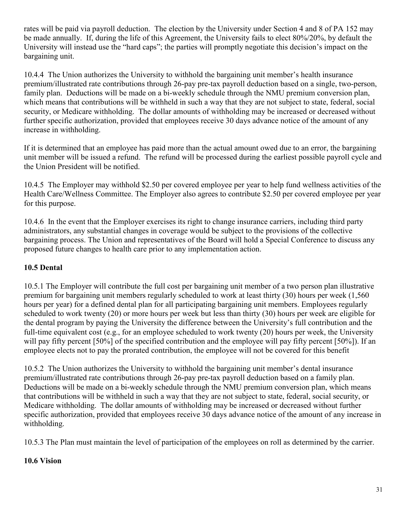rates will be paid via payroll deduction. The election by the University under Section 4 and 8 of PA 152 may be made annually. If, during the life of this Agreement, the University fails to elect 80%/20%, by default the University will instead use the "hard caps"; the parties will promptly negotiate this decision's impact on the bargaining unit.

10.4.4 The Union authorizes the University to withhold the bargaining unit member's health insurance premium/illustrated rate contributions through 26-pay pre-tax payroll deduction based on a single, two-person, family plan. Deductions will be made on a bi-weekly schedule through the NMU premium conversion plan, which means that contributions will be withheld in such a way that they are not subject to state, federal, social security, or Medicare withholding. The dollar amounts of withholding may be increased or decreased without further specific authorization, provided that employees receive 30 days advance notice of the amount of any increase in withholding.

If it is determined that an employee has paid more than the actual amount owed due to an error, the bargaining unit member will be issued a refund. The refund will be processed during the earliest possible payroll cycle and the Union President will be notified.

10.4.5 The Employer may withhold \$2.50 per covered employee per year to help fund wellness activities of the Health Care/Wellness Committee. The Employer also agrees to contribute \$2.50 per covered employee per year for this purpose.

10.4.6 In the event that the Employer exercises its right to change insurance carriers, including third party administrators, any substantial changes in coverage would be subject to the provisions of the collective bargaining process. The Union and representatives of the Board will hold a Special Conference to discuss any proposed future changes to health care prior to any implementation action.

### **10.5 Dental**

10.5.1 The Employer will contribute the full cost per bargaining unit member of a two person plan illustrative premium for bargaining unit members regularly scheduled to work at least thirty (30) hours per week (1,560 hours per year) for a defined dental plan for all participating bargaining unit members. Employees regularly scheduled to work twenty (20) or more hours per week but less than thirty (30) hours per week are eligible for the dental program by paying the University the difference between the University's full contribution and the full-time equivalent cost (e.g., for an employee scheduled to work twenty (20) hours per week, the University will pay fifty percent [50%] of the specified contribution and the employee will pay fifty percent [50%]). If an employee elects not to pay the prorated contribution, the employee will not be covered for this benefit

10.5.2 The Union authorizes the University to withhold the bargaining unit member's dental insurance premium/illustrated rate contributions through 26-pay pre-tax payroll deduction based on a family plan. Deductions will be made on a bi-weekly schedule through the NMU premium conversion plan, which means that contributions will be withheld in such a way that they are not subject to state, federal, social security, or Medicare withholding. The dollar amounts of withholding may be increased or decreased without further specific authorization, provided that employees receive 30 days advance notice of the amount of any increase in withholding.

10.5.3 The Plan must maintain the level of participation of the employees on roll as determined by the carrier.

#### **10.6 Vision**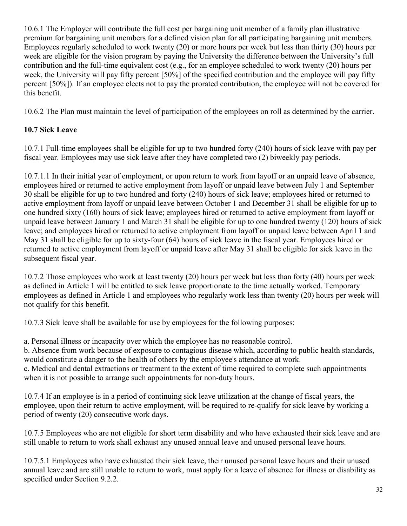10.6.1 The Employer will contribute the full cost per bargaining unit member of a family plan illustrative premium for bargaining unit members for a defined vision plan for all participating bargaining unit members. Employees regularly scheduled to work twenty (20) or more hours per week but less than thirty (30) hours per week are eligible for the vision program by paying the University the difference between the University's full contribution and the full-time equivalent cost (e.g., for an employee scheduled to work twenty (20) hours per week, the University will pay fifty percent [50%] of the specified contribution and the employee will pay fifty percent [50%]). If an employee elects not to pay the prorated contribution, the employee will not be covered for this benefit.

10.6.2 The Plan must maintain the level of participation of the employees on roll as determined by the carrier.

## **10.7 Sick Leave**

10.7.1 Full-time employees shall be eligible for up to two hundred forty (240) hours of sick leave with pay per fiscal year. Employees may use sick leave after they have completed two (2) biweekly pay periods.

10.7.1.1 In their initial year of employment, or upon return to work from layoff or an unpaid leave of absence, employees hired or returned to active employment from layoff or unpaid leave between July 1 and September 30 shall be eligible for up to two hundred and forty (240) hours of sick leave; employees hired or returned to active employment from layoff or unpaid leave between October 1 and December 31 shall be eligible for up to one hundred sixty (160) hours of sick leave; employees hired or returned to active employment from layoff or unpaid leave between January 1 and March 31 shall be eligible for up to one hundred twenty (120) hours of sick leave; and employees hired or returned to active employment from layoff or unpaid leave between April 1 and May 31 shall be eligible for up to sixty-four (64) hours of sick leave in the fiscal year. Employees hired or returned to active employment from layoff or unpaid leave after May 31 shall be eligible for sick leave in the subsequent fiscal year.

10.7.2 Those employees who work at least twenty (20) hours per week but less than forty (40) hours per week as defined in Article 1 will be entitled to sick leave proportionate to the time actually worked. Temporary employees as defined in Article 1 and employees who regularly work less than twenty (20) hours per week will not qualify for this benefit.

10.7.3 Sick leave shall be available for use by employees for the following purposes:

a. Personal illness or incapacity over which the employee has no reasonable control. b. Absence from work because of exposure to contagious disease which, according to public health standards,

would constitute a danger to the health of others by the employee's attendance at work.

c. Medical and dental extractions or treatment to the extent of time required to complete such appointments when it is not possible to arrange such appointments for non-duty hours.

10.7.4 If an employee is in a period of continuing sick leave utilization at the change of fiscal years, the employee, upon their return to active employment, will be required to re-qualify for sick leave by working a period of twenty (20) consecutive work days.

10.7.5 Employees who are not eligible for short term disability and who have exhausted their sick leave and are still unable to return to work shall exhaust any unused annual leave and unused personal leave hours.

10.7.5.1 Employees who have exhausted their sick leave, their unused personal leave hours and their unused annual leave and are still unable to return to work, must apply for a leave of absence for illness or disability as specified under Section 9.2.2.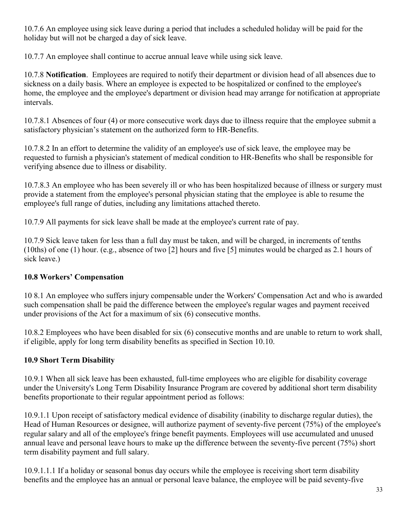10.7.6 An employee using sick leave during a period that includes a scheduled holiday will be paid for the holiday but will not be charged a day of sick leave.

10.7.7 An employee shall continue to accrue annual leave while using sick leave.

10.7.8 **Notification**. Employees are required to notify their department or division head of all absences due to sickness on a daily basis. Where an employee is expected to be hospitalized or confined to the employee's home, the employee and the employee's department or division head may arrange for notification at appropriate intervals.

10.7.8.1 Absences of four (4) or more consecutive work days due to illness require that the employee submit a satisfactory physician's statement on the authorized form to HR-Benefits.

10.7.8.2 In an effort to determine the validity of an employee's use of sick leave, the employee may be requested to furnish a physician's statement of medical condition to HR-Benefits who shall be responsible for verifying absence due to illness or disability.

10.7.8.3 An employee who has been severely ill or who has been hospitalized because of illness or surgery must provide a statement from the employee's personal physician stating that the employee is able to resume the employee's full range of duties, including any limitations attached thereto.

10.7.9 All payments for sick leave shall be made at the employee's current rate of pay.

10.7.9 Sick leave taken for less than a full day must be taken, and will be charged, in increments of tenths (10ths) of one (1) hour. (e.g., absence of two [2] hours and five [5] minutes would be charged as 2.1 hours of sick leave.)

## **10.8 Workers' Compensation**

10 8.1 An employee who suffers injury compensable under the Workers' Compensation Act and who is awarded such compensation shall be paid the difference between the employee's regular wages and payment received under provisions of the Act for a maximum of six (6) consecutive months.

10.8.2 Employees who have been disabled for six (6) consecutive months and are unable to return to work shall, if eligible, apply for long term disability benefits as specified in Section 10.10.

## **10.9 Short Term Disability**

10.9.1 When all sick leave has been exhausted, full-time employees who are eligible for disability coverage under the University's Long Term Disability Insurance Program are covered by additional short term disability benefits proportionate to their regular appointment period as follows:

10.9.1.1 Upon receipt of satisfactory medical evidence of disability (inability to discharge regular duties), the Head of Human Resources or designee, will authorize payment of seventy-five percent (75%) of the employee's regular salary and all of the employee's fringe benefit payments. Employees will use accumulated and unused annual leave and personal leave hours to make up the difference between the seventy-five percent (75%) short term disability payment and full salary.

10.9.1.1.1 If a holiday or seasonal bonus day occurs while the employee is receiving short term disability benefits and the employee has an annual or personal leave balance, the employee will be paid seventy-five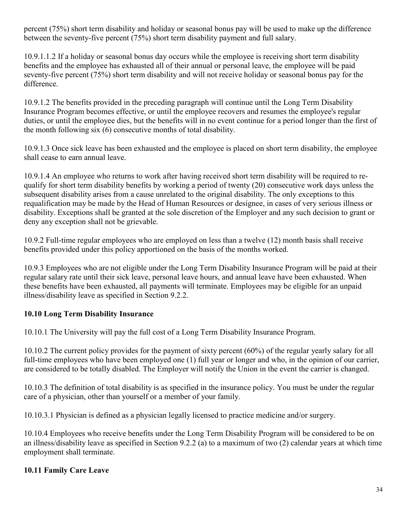percent (75%) short term disability and holiday or seasonal bonus pay will be used to make up the difference between the seventy-five percent (75%) short term disability payment and full salary.

10.9.1.1.2 If a holiday or seasonal bonus day occurs while the employee is receiving short term disability benefits and the employee has exhausted all of their annual or personal leave, the employee will be paid seventy-five percent (75%) short term disability and will not receive holiday or seasonal bonus pay for the difference.

10.9.1.2 The benefits provided in the preceding paragraph will continue until the Long Term Disability Insurance Program becomes effective, or until the employee recovers and resumes the employee's regular duties, or until the employee dies, but the benefits will in no event continue for a period longer than the first of the month following six (6) consecutive months of total disability.

10.9.1.3 Once sick leave has been exhausted and the employee is placed on short term disability, the employee shall cease to earn annual leave.

10.9.1.4 An employee who returns to work after having received short term disability will be required to requalify for short term disability benefits by working a period of twenty (20) consecutive work days unless the subsequent disability arises from a cause unrelated to the original disability. The only exceptions to this requalification may be made by the Head of Human Resources or designee, in cases of very serious illness or disability. Exceptions shall be granted at the sole discretion of the Employer and any such decision to grant or deny any exception shall not be grievable.

10.9.2 Full-time regular employees who are employed on less than a twelve (12) month basis shall receive benefits provided under this policy apportioned on the basis of the months worked.

10.9.3 Employees who are not eligible under the Long Term Disability Insurance Program will be paid at their regular salary rate until their sick leave, personal leave hours, and annual leave have been exhausted. When these benefits have been exhausted, all payments will terminate. Employees may be eligible for an unpaid illness/disability leave as specified in Section 9.2.2.

## **10.10 Long Term Disability Insurance**

10.10.1 The University will pay the full cost of a Long Term Disability Insurance Program.

10.10.2 The current policy provides for the payment of sixty percent (60%) of the regular yearly salary for all full-time employees who have been employed one (1) full year or longer and who, in the opinion of our carrier, are considered to be totally disabled. The Employer will notify the Union in the event the carrier is changed.

10.10.3 The definition of total disability is as specified in the insurance policy. You must be under the regular care of a physician, other than yourself or a member of your family.

10.10.3.1 Physician is defined as a physician legally licensed to practice medicine and/or surgery.

10.10.4 Employees who receive benefits under the Long Term Disability Program will be considered to be on an illness/disability leave as specified in Section 9.2.2 (a) to a maximum of two (2) calendar years at which time employment shall terminate.

### **10.11 Family Care Leave**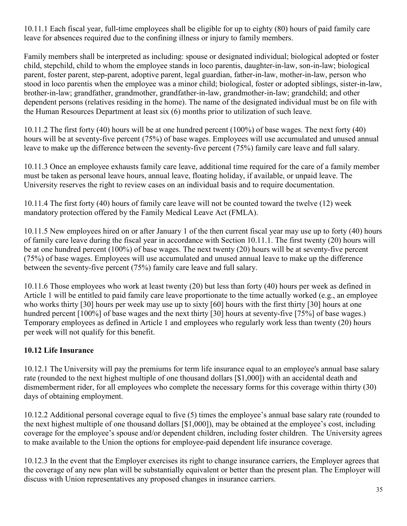10.11.1 Each fiscal year, full-time employees shall be eligible for up to eighty (80) hours of paid family care leave for absences required due to the confining illness or injury to family members.

Family members shall be interpreted as including: spouse or designated individual; biological adopted or foster child, stepchild, child to whom the employee stands in loco parentis, daughter-in-law, son-in-law; biological parent, foster parent, step-parent, adoptive parent, legal guardian, father-in-law, mother-in-law, person who stood in loco parentis when the employee was a minor child; biological, foster or adopted siblings, sister-in-law, brother-in-law; grandfather, grandmother, grandfather-in-law, grandmother-in-law; grandchild; and other dependent persons (relatives residing in the home). The name of the designated individual must be on file with the Human Resources Department at least six (6) months prior to utilization of such leave.

10.11.2 The first forty (40) hours will be at one hundred percent (100%) of base wages. The next forty (40) hours will be at seventy-five percent (75%) of base wages. Employees will use accumulated and unused annual leave to make up the difference between the seventy-five percent (75%) family care leave and full salary.

10.11.3 Once an employee exhausts family care leave, additional time required for the care of a family member must be taken as personal leave hours, annual leave, floating holiday, if available, or unpaid leave. The University reserves the right to review cases on an individual basis and to require documentation.

10.11.4 The first forty (40) hours of family care leave will not be counted toward the twelve (12) week mandatory protection offered by the Family Medical Leave Act (FMLA).

10.11.5 New employees hired on or after January 1 of the then current fiscal year may use up to forty (40) hours of family care leave during the fiscal year in accordance with Section 10.11.1. The first twenty (20) hours will be at one hundred percent (100%) of base wages. The next twenty (20) hours will be at seventy-five percent (75%) of base wages. Employees will use accumulated and unused annual leave to make up the difference between the seventy-five percent (75%) family care leave and full salary.

10.11.6 Those employees who work at least twenty (20) but less than forty (40) hours per week as defined in Article 1 will be entitled to paid family care leave proportionate to the time actually worked (e.g., an employee who works thirty [30] hours per week may use up to sixty [60] hours with the first thirty [30] hours at one hundred percent [100%] of base wages and the next thirty [30] hours at seventy-five [75%] of base wages.) Temporary employees as defined in Article 1 and employees who regularly work less than twenty (20) hours per week will not qualify for this benefit.

### **10.12 Life Insurance**

10.12.1 The University will pay the premiums for term life insurance equal to an employee's annual base salary rate (rounded to the next highest multiple of one thousand dollars [\$1,000]) with an accidental death and dismemberment rider, for all employees who complete the necessary forms for this coverage within thirty (30) days of obtaining employment.

10.12.2 Additional personal coverage equal to five (5) times the employee's annual base salary rate (rounded to the next highest multiple of one thousand dollars [\$1,000]), may be obtained at the employee's cost, including coverage for the employee's spouse and/or dependent children, including foster children. The University agrees to make available to the Union the options for employee-paid dependent life insurance coverage.

10.12.3 In the event that the Employer exercises its right to change insurance carriers, the Employer agrees that the coverage of any new plan will be substantially equivalent or better than the present plan. The Employer will discuss with Union representatives any proposed changes in insurance carriers.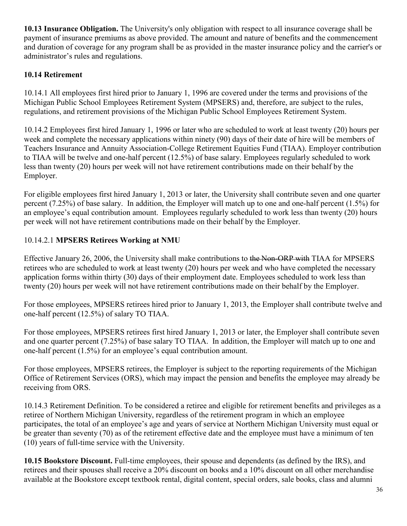**10.13 Insurance Obligation.** The University's only obligation with respect to all insurance coverage shall be payment of insurance premiums as above provided. The amount and nature of benefits and the commencement and duration of coverage for any program shall be as provided in the master insurance policy and the carrier's or administrator's rules and regulations.

### **10.14 Retirement**

10.14.1 All employees first hired prior to January 1, 1996 are covered under the terms and provisions of the Michigan Public School Employees Retirement System (MPSERS) and, therefore, are subject to the rules, regulations, and retirement provisions of the Michigan Public School Employees Retirement System.

10.14.2 Employees first hired January 1, 1996 or later who are scheduled to work at least twenty (20) hours per week and complete the necessary applications within ninety (90) days of their date of hire will be members of Teachers Insurance and Annuity Association-College Retirement Equities Fund (TIAA). Employer contribution to TIAA will be twelve and one-half percent (12.5%) of base salary. Employees regularly scheduled to work less than twenty (20) hours per week will not have retirement contributions made on their behalf by the Employer.

For eligible employees first hired January 1, 2013 or later, the University shall contribute seven and one quarter percent (7.25%) of base salary. In addition, the Employer will match up to one and one-half percent (1.5%) for an employee's equal contribution amount. Employees regularly scheduled to work less than twenty (20) hours per week will not have retirement contributions made on their behalf by the Employer.

## 10.14.2.1 **MPSERS Retirees Working at NMU**

Effective January 26, 2006, the University shall make contributions to the Non-ORP with TIAA for MPSERS retirees who are scheduled to work at least twenty (20) hours per week and who have completed the necessary application forms within thirty (30) days of their employment date. Employees scheduled to work less than twenty (20) hours per week will not have retirement contributions made on their behalf by the Employer.

For those employees, MPSERS retirees hired prior to January 1, 2013, the Employer shall contribute twelve and one-half percent (12.5%) of salary TO TIAA.

For those employees, MPSERS retirees first hired January 1, 2013 or later, the Employer shall contribute seven and one quarter percent (7.25%) of base salary TO TIAA. In addition, the Employer will match up to one and one-half percent (1.5%) for an employee's equal contribution amount.

For those employees, MPSERS retirees, the Employer is subject to the reporting requirements of the Michigan Office of Retirement Services (ORS), which may impact the pension and benefits the employee may already be receiving from ORS.

10.14.3 Retirement Definition. To be considered a retiree and eligible for retirement benefits and privileges as a retiree of Northern Michigan University, regardless of the retirement program in which an employee participates, the total of an employee's age and years of service at Northern Michigan University must equal or be greater than seventy (70) as of the retirement effective date and the employee must have a minimum of ten (10) years of full-time service with the University.

**10.15 Bookstore Discount.** Full-time employees, their spouse and dependents (as defined by the IRS), and retirees and their spouses shall receive a 20% discount on books and a 10% discount on all other merchandise available at the Bookstore except textbook rental, digital content, special orders, sale books, class and alumni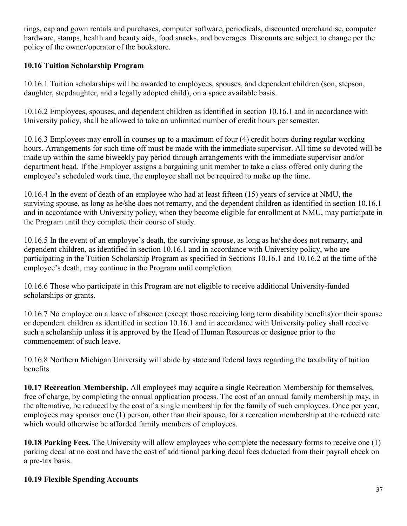rings, cap and gown rentals and purchases, computer software, periodicals, discounted merchandise, computer hardware, stamps, health and beauty aids, food snacks, and beverages. Discounts are subject to change per the policy of the owner/operator of the bookstore.

### **10.16 Tuition Scholarship Program**

10.16.1 Tuition scholarships will be awarded to employees, spouses, and dependent children (son, stepson, daughter, stepdaughter, and a legally adopted child), on a space available basis.

10.16.2 Employees, spouses, and dependent children as identified in section 10.16.1 and in accordance with University policy, shall be allowed to take an unlimited number of credit hours per semester.

10.16.3 Employees may enroll in courses up to a maximum of four (4) credit hours during regular working hours. Arrangements for such time off must be made with the immediate supervisor. All time so devoted will be made up within the same biweekly pay period through arrangements with the immediate supervisor and/or department head. If the Employer assigns a bargaining unit member to take a class offered only during the employee's scheduled work time, the employee shall not be required to make up the time.

10.16.4 In the event of death of an employee who had at least fifteen (15) years of service at NMU, the surviving spouse, as long as he/she does not remarry, and the dependent children as identified in section 10.16.1 and in accordance with University policy, when they become eligible for enrollment at NMU, may participate in the Program until they complete their course of study.

10.16.5 In the event of an employee's death, the surviving spouse, as long as he/she does not remarry, and dependent children, as identified in section 10.16.1 and in accordance with University policy, who are participating in the Tuition Scholarship Program as specified in Sections 10.16.1 and 10.16.2 at the time of the employee's death, may continue in the Program until completion.

10.16.6 Those who participate in this Program are not eligible to receive additional University-funded scholarships or grants.

10.16.7 No employee on a leave of absence (except those receiving long term disability benefits) or their spouse or dependent children as identified in section 10.16.1 and in accordance with University policy shall receive such a scholarship unless it is approved by the Head of Human Resources or designee prior to the commencement of such leave.

10.16.8 Northern Michigan University will abide by state and federal laws regarding the taxability of tuition benefits.

**10.17 Recreation Membership.** All employees may acquire a single Recreation Membership for themselves, free of charge, by completing the annual application process. The cost of an annual family membership may, in the alternative, be reduced by the cost of a single membership for the family of such employees. Once per year, employees may sponsor one (1) person, other than their spouse, for a recreation membership at the reduced rate which would otherwise be afforded family members of employees.

**10.18 Parking Fees.** The University will allow employees who complete the necessary forms to receive one (1) parking decal at no cost and have the cost of additional parking decal fees deducted from their payroll check on a pre-tax basis.

### **10.19 Flexible Spending Accounts**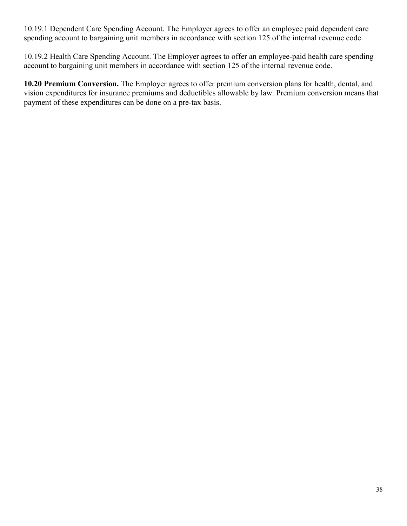10.19.1 Dependent Care Spending Account. The Employer agrees to offer an employee paid dependent care spending account to bargaining unit members in accordance with section 125 of the internal revenue code.

10.19.2 Health Care Spending Account. The Employer agrees to offer an employee-paid health care spending account to bargaining unit members in accordance with section 125 of the internal revenue code.

**10.20 Premium Conversion.** The Employer agrees to offer premium conversion plans for health, dental, and vision expenditures for insurance premiums and deductibles allowable by law. Premium conversion means that payment of these expenditures can be done on a pre-tax basis.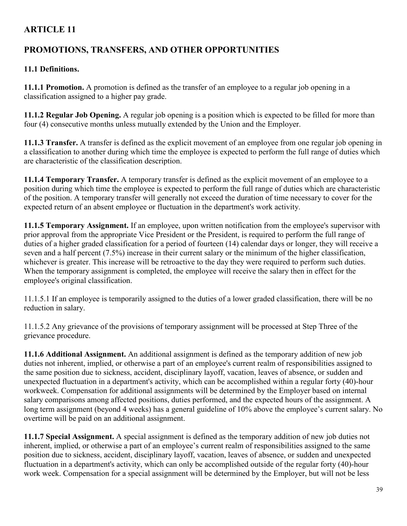# **PROMOTIONS, TRANSFERS, AND OTHER OPPORTUNITIES**

## **11.1 Definitions.**

**11.1.1 Promotion.** A promotion is defined as the transfer of an employee to a regular job opening in a classification assigned to a higher pay grade.

**11.1.2 Regular Job Opening.** A regular job opening is a position which is expected to be filled for more than four (4) consecutive months unless mutually extended by the Union and the Employer.

**11.1.3 Transfer.** A transfer is defined as the explicit movement of an employee from one regular job opening in a classification to another during which time the employee is expected to perform the full range of duties which are characteristic of the classification description.

**11.1.4 Temporary Transfer.** A temporary transfer is defined as the explicit movement of an employee to a position during which time the employee is expected to perform the full range of duties which are characteristic of the position. A temporary transfer will generally not exceed the duration of time necessary to cover for the expected return of an absent employee or fluctuation in the department's work activity.

**11.1.5 Temporary Assignment.** If an employee, upon written notification from the employee's supervisor with prior approval from the appropriate Vice President or the President, is required to perform the full range of duties of a higher graded classification for a period of fourteen (14) calendar days or longer, they will receive a seven and a half percent (7.5%) increase in their current salary or the minimum of the higher classification, whichever is greater. This increase will be retroactive to the day they were required to perform such duties. When the temporary assignment is completed, the employee will receive the salary then in effect for the employee's original classification.

11.1.5.1 If an employee is temporarily assigned to the duties of a lower graded classification, there will be no reduction in salary.

11.1.5.2 Any grievance of the provisions of temporary assignment will be processed at Step Three of the grievance procedure.

**11.1.6 Additional Assignment.** An additional assignment is defined as the temporary addition of new job duties not inherent, implied, or otherwise a part of an employee's current realm of responsibilities assigned to the same position due to sickness, accident, disciplinary layoff, vacation, leaves of absence, or sudden and unexpected fluctuation in a department's activity, which can be accomplished within a regular forty (40)-hour workweek. Compensation for additional assignments will be determined by the Employer based on internal salary comparisons among affected positions, duties performed, and the expected hours of the assignment. A long term assignment (beyond 4 weeks) has a general guideline of 10% above the employee's current salary. No overtime will be paid on an additional assignment.

**11.1.7 Special Assignment.** A special assignment is defined as the temporary addition of new job duties not inherent, implied, or otherwise a part of an employee's current realm of responsibilities assigned to the same position due to sickness, accident, disciplinary layoff, vacation, leaves of absence, or sudden and unexpected fluctuation in a department's activity, which can only be accomplished outside of the regular forty (40)-hour work week. Compensation for a special assignment will be determined by the Employer, but will not be less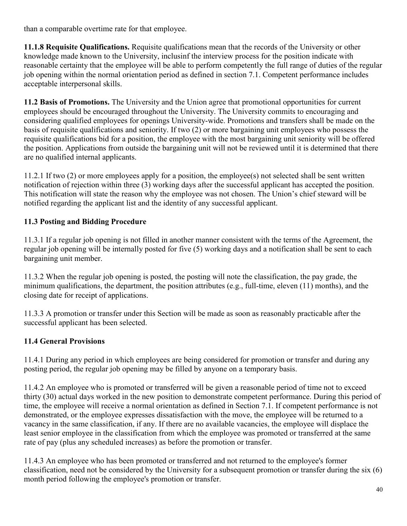than a comparable overtime rate for that employee.

**11.1.8 Requisite Qualifications.** Requisite qualifications mean that the records of the University or other knowledge made known to the University, inclusinf the interview process for the position indicate with reasonable certainty that the employee will be able to perform competently the full range of duties of the regular job opening within the normal orientation period as defined in section 7.1. Competent performance includes acceptable interpersonal skills.

**11.2 Basis of Promotions.** The University and the Union agree that promotional opportunities for current employees should be encouraged throughout the University. The University commits to encouraging and considering qualified employees for openings University-wide. Promotions and transfers shall be made on the basis of requisite qualifications and seniority. If two (2) or more bargaining unit employees who possess the requisite qualifications bid for a position, the employee with the most bargaining unit seniority will be offered the position. Applications from outside the bargaining unit will not be reviewed until it is determined that there are no qualified internal applicants.

11.2.1 If two (2) or more employees apply for a position, the employee(s) not selected shall be sent written notification of rejection within three (3) working days after the successful applicant has accepted the position. This notification will state the reason why the employee was not chosen. The Union's chief steward will be notified regarding the applicant list and the identity of any successful applicant.

## **11.3 Posting and Bidding Procedure**

11.3.1 If a regular job opening is not filled in another manner consistent with the terms of the Agreement, the regular job opening will be internally posted for five (5) working days and a notification shall be sent to each bargaining unit member.

11.3.2 When the regular job opening is posted, the posting will note the classification, the pay grade, the minimum qualifications, the department, the position attributes (e.g., full-time, eleven (11) months), and the closing date for receipt of applications.

11.3.3 A promotion or transfer under this Section will be made as soon as reasonably practicable after the successful applicant has been selected.

## **11.4 General Provisions**

11.4.1 During any period in which employees are being considered for promotion or transfer and during any posting period, the regular job opening may be filled by anyone on a temporary basis.

11.4.2 An employee who is promoted or transferred will be given a reasonable period of time not to exceed thirty (30) actual days worked in the new position to demonstrate competent performance. During this period of time, the employee will receive a normal orientation as defined in Section 7.1. If competent performance is not demonstrated, or the employee expresses dissatisfaction with the move, the employee will be returned to a vacancy in the same classification, if any. If there are no available vacancies, the employee will displace the least senior employee in the classification from which the employee was promoted or transferred at the same rate of pay (plus any scheduled increases) as before the promotion or transfer.

11.4.3 An employee who has been promoted or transferred and not returned to the employee's former classification, need not be considered by the University for a subsequent promotion or transfer during the six (6) month period following the employee's promotion or transfer.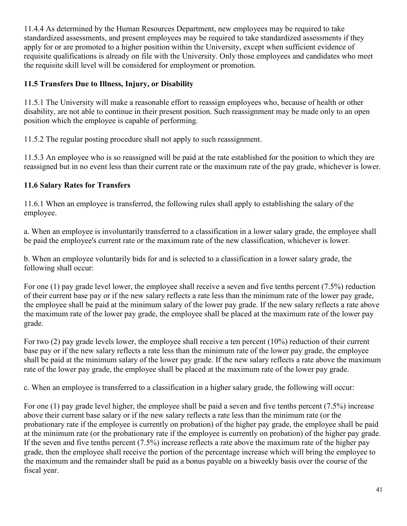11.4.4 As determined by the Human Resources Department, new employees may be required to take standardized assessments, and present employees may be required to take standardized assessments if they apply for or are promoted to a higher position within the University, except when sufficient evidence of requisite qualifications is already on file with the University. Only those employees and candidates who meet the requisite skill level will be considered for employment or promotion.

### **11.5 Transfers Due to Illness, Injury, or Disability**

11.5.1 The University will make a reasonable effort to reassign employees who, because of health or other disability, are not able to continue in their present position. Such reassignment may be made only to an open position which the employee is capable of performing.

11.5.2 The regular posting procedure shall not apply to such reassignment.

11.5.3 An employee who is so reassigned will be paid at the rate established for the position to which they are reassigned but in no event less than their current rate or the maximum rate of the pay grade, whichever is lower.

#### **11.6 Salary Rates for Transfers**

11.6.1 When an employee is transferred, the following rules shall apply to establishing the salary of the employee.

a. When an employee is involuntarily transferred to a classification in a lower salary grade, the employee shall be paid the employee's current rate or the maximum rate of the new classification, whichever is lower.

b. When an employee voluntarily bids for and is selected to a classification in a lower salary grade, the following shall occur:

For one (1) pay grade level lower, the employee shall receive a seven and five tenths percent (7.5%) reduction of their current base pay or if the new salary reflects a rate less than the minimum rate of the lower pay grade, the employee shall be paid at the minimum salary of the lower pay grade. If the new salary reflects a rate above the maximum rate of the lower pay grade, the employee shall be placed at the maximum rate of the lower pay grade.

For two (2) pay grade levels lower, the employee shall receive a ten percent (10%) reduction of their current base pay or if the new salary reflects a rate less than the minimum rate of the lower pay grade, the employee shall be paid at the minimum salary of the lower pay grade. If the new salary reflects a rate above the maximum rate of the lower pay grade, the employee shall be placed at the maximum rate of the lower pay grade.

c. When an employee is transferred to a classification in a higher salary grade, the following will occur:

For one (1) pay grade level higher, the employee shall be paid a seven and five tenths percent (7.5%) increase above their current base salary or if the new salary reflects a rate less than the minimum rate (or the probationary rate if the employee is currently on probation) of the higher pay grade, the employee shall be paid at the minimum rate (or the probationary rate if the employee is currently on probation) of the higher pay grade. If the seven and five tenths percent (7.5%) increase reflects a rate above the maximum rate of the higher pay grade, then the employee shall receive the portion of the percentage increase which will bring the employee to the maximum and the remainder shall be paid as a bonus payable on a biweekly basis over the course of the fiscal year.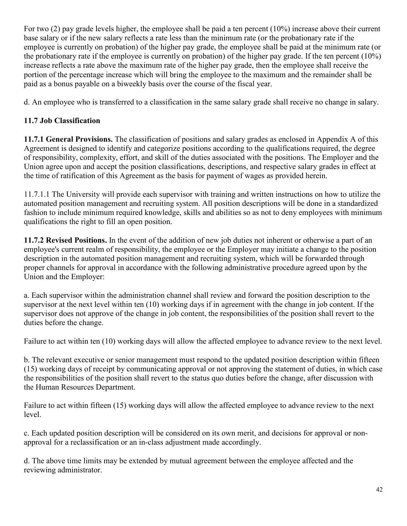For two (2) pay grade levels higher, the employee shall be paid a ten percent (10%) increase above their current base salary or if the new salary reflects a rate less than the minimum rate (or the probationary rate if the employee is currently on probation) of the higher pay grade, the employee shall be paid at the minimum rate (or the probationary rate if the employee is currently on probation) of the higher pay grade. If the ten percent (10%) increase reflects a rate above the maximum rate of the higher pay grade, then the employee shall receive the portion of the percentage increase which will bring the employee to the maximum and the remainder shall be paid as a bonus payable on a biweekly basis over the course of the fiscal year.

d. An employee who is transferred to a classification in the same salary grade shall receive no change in salary.

## **11.7 Job Classification**

**11.7.1 General Provisions.** The classification of positions and salary grades as enclosed in Appendix A of this Agreement is designed to identify and categorize positions according to the qualifications required, the degree of responsibility, complexity, effort, and skill of the duties associated with the positions. The Employer and the Union agree upon and accept the position classifications, descriptions, and respective salary grades in effect at the time of ratification of this Agreement as the basis for payment of wages as provided herein.

11.7.1.1 The University will provide each supervisor with training and written instructions on how to utilize the automated position management and recruiting system. All position descriptions will be done in a standardized fashion to include minimum required knowledge, skills and abilities so as not to deny employees with minimum qualifications the right to fill an open position.

**11.7.2 Revised Positions.** In the event of the addition of new job duties not inherent or otherwise a part of an employee's current realm of responsibility, the employee or the Employer may initiate a change to the position description in the automated position management and recruiting system, which will be forwarded through proper channels for approval in accordance with the following administrative procedure agreed upon by the Union and the Employer:

a. Each supervisor within the administration channel shall review and forward the position description to the supervisor at the next level within ten (10) working days if in agreement with the change in job content. If the supervisor does not approve of the change in job content, the responsibilities of the position shall revert to the duties before the change.

Failure to act within ten (10) working days will allow the affected employee to advance review to the next level.

b. The relevant executive or senior management must respond to the updated position description within fifteen (15) working days of receipt by communicating approval or not approving the statement of duties, in which case the responsibilities of the position shall revert to the status quo duties before the change, after discussion with the Human Resources Department.

Failure to act within fifteen (15) working days will allow the affected employee to advance review to the next level.

c. Each updated position description will be considered on its own merit, and decisions for approval or nonapproval for a reclassification or an in-class adjustment made accordingly.

d. The above time limits may be extended by mutual agreement between the employee affected and the reviewing administrator.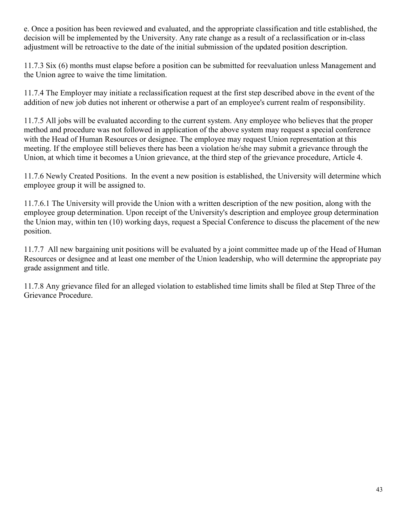e. Once a position has been reviewed and evaluated, and the appropriate classification and title established, the decision will be implemented by the University. Any rate change as a result of a reclassification or in-class adjustment will be retroactive to the date of the initial submission of the updated position description.

11.7.3 Six (6) months must elapse before a position can be submitted for reevaluation unless Management and the Union agree to waive the time limitation.

11.7.4 The Employer may initiate a reclassification request at the first step described above in the event of the addition of new job duties not inherent or otherwise a part of an employee's current realm of responsibility.

11.7.5 All jobs will be evaluated according to the current system. Any employee who believes that the proper method and procedure was not followed in application of the above system may request a special conference with the Head of Human Resources or designee. The employee may request Union representation at this meeting. If the employee still believes there has been a violation he/she may submit a grievance through the Union, at which time it becomes a Union grievance, at the third step of the grievance procedure, Article 4.

11.7.6 Newly Created Positions. In the event a new position is established, the University will determine which employee group it will be assigned to.

11.7.6.1 The University will provide the Union with a written description of the new position, along with the employee group determination. Upon receipt of the University's description and employee group determination the Union may, within ten (10) working days, request a Special Conference to discuss the placement of the new position.

11.7.7 All new bargaining unit positions will be evaluated by a joint committee made up of the Head of Human Resources or designee and at least one member of the Union leadership, who will determine the appropriate pay grade assignment and title.

11.7.8 Any grievance filed for an alleged violation to established time limits shall be filed at Step Three of the Grievance Procedure.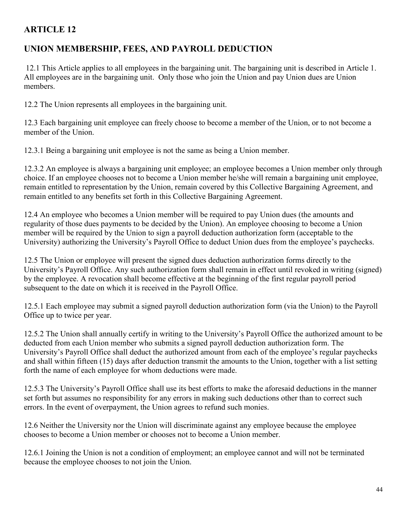# **UNION MEMBERSHIP, FEES, AND PAYROLL DEDUCTION**

12.1 This Article applies to all employees in the bargaining unit. The bargaining unit is described in Article 1. All employees are in the bargaining unit. Only those who join the Union and pay Union dues are Union members.

12.2 The Union represents all employees in the bargaining unit.

12.3 Each bargaining unit employee can freely choose to become a member of the Union, or to not become a member of the Union.

12.3.1 Being a bargaining unit employee is not the same as being a Union member.

12.3.2 An employee is always a bargaining unit employee; an employee becomes a Union member only through choice. If an employee chooses not to become a Union member he/she will remain a bargaining unit employee, remain entitled to representation by the Union, remain covered by this Collective Bargaining Agreement, and remain entitled to any benefits set forth in this Collective Bargaining Agreement.

12.4 An employee who becomes a Union member will be required to pay Union dues (the amounts and regularity of those dues payments to be decided by the Union). An employee choosing to become a Union member will be required by the Union to sign a payroll deduction authorization form (acceptable to the University) authorizing the University's Payroll Office to deduct Union dues from the employee's paychecks.

12.5 The Union or employee will present the signed dues deduction authorization forms directly to the University's Payroll Office. Any such authorization form shall remain in effect until revoked in writing (signed) by the employee. A revocation shall become effective at the beginning of the first regular payroll period subsequent to the date on which it is received in the Payroll Office.

12.5.1 Each employee may submit a signed payroll deduction authorization form (via the Union) to the Payroll Office up to twice per year.

12.5.2 The Union shall annually certify in writing to the University's Payroll Office the authorized amount to be deducted from each Union member who submits a signed payroll deduction authorization form. The University's Payroll Office shall deduct the authorized amount from each of the employee's regular paychecks and shall within fifteen (15) days after deduction transmit the amounts to the Union, together with a list setting forth the name of each employee for whom deductions were made.

12.5.3 The University's Payroll Office shall use its best efforts to make the aforesaid deductions in the manner set forth but assumes no responsibility for any errors in making such deductions other than to correct such errors. In the event of overpayment, the Union agrees to refund such monies.

12.6 Neither the University nor the Union will discriminate against any employee because the employee chooses to become a Union member or chooses not to become a Union member.

12.6.1 Joining the Union is not a condition of employment; an employee cannot and will not be terminated because the employee chooses to not join the Union.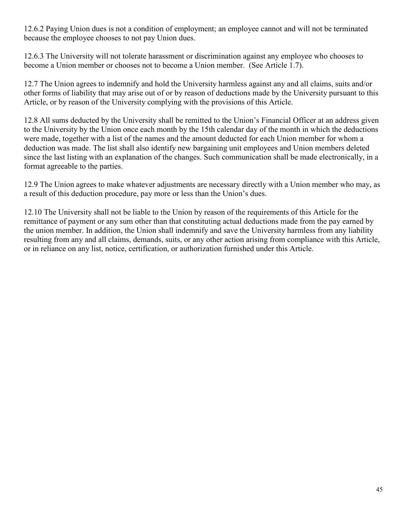12.6.2 Paying Union dues is not a condition of employment; an employee cannot and will not be terminated because the employee chooses to not pay Union dues.

12.6.3 The University will not tolerate harassment or discrimination against any employee who chooses to become a Union member or chooses not to become a Union member. (See Article 1.7).

12.7 The Union agrees to indemnify and hold the University harmless against any and all claims, suits and/or other forms of liability that may arise out of or by reason of deductions made by the University pursuant to this Article, or by reason of the University complying with the provisions of this Article.

12.8 All sums deducted by the University shall be remitted to the Union's Financial Officer at an address given to the University by the Union once each month by the 15th calendar day of the month in which the deductions were made, together with a list of the names and the amount deducted for each Union member for whom a deduction was made. The list shall also identify new bargaining unit employees and Union members deleted since the last listing with an explanation of the changes. Such communication shall be made electronically, in a format agreeable to the parties.

12.9 The Union agrees to make whatever adjustments are necessary directly with a Union member who may, as a result of this deduction procedure, pay more or less than the Union's dues.

12.10 The University shall not be liable to the Union by reason of the requirements of this Article for the remittance of payment or any sum other than that constituting actual deductions made from the pay earned by the union member. In addition, the Union shall indemnify and save the University harmless from any liability resulting from any and all claims, demands, suits, or any other action arising from compliance with this Article, or in reliance on any list, notice, certification, or authorization furnished under this Article.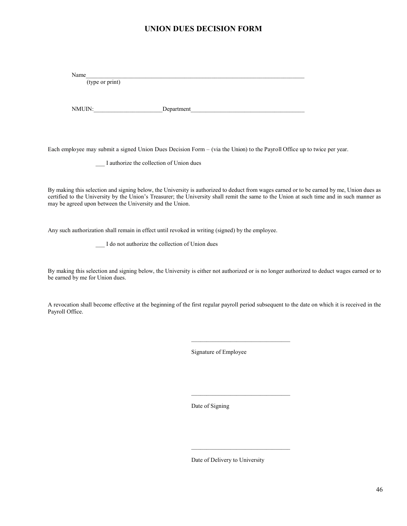#### **UNION DUES DECISION FORM**

Name\_\_\_\_\_\_\_\_\_\_\_\_\_\_\_\_\_\_\_\_\_\_\_\_\_\_\_\_\_\_\_\_\_\_\_\_\_\_\_\_\_\_\_\_\_\_\_\_\_\_\_\_\_\_\_\_\_\_\_\_\_\_\_\_\_\_\_\_\_\_\_\_\_ (type or print)

NMUIN:\_\_\_\_\_\_\_\_\_\_\_\_\_\_\_\_\_\_\_\_\_\_\_Department\_\_\_\_\_\_\_\_\_\_\_\_\_\_\_\_\_\_\_\_\_\_\_\_\_\_\_\_\_\_\_\_\_\_\_\_\_\_

Each employee may submit a signed Union Dues Decision Form – (via the Union) to the Payroll Office up to twice per year.

I authorize the collection of Union dues

By making this selection and signing below, the University is authorized to deduct from wages earned or to be earned by me, Union dues as certified to the University by the Union's Treasurer; the University shall remit the same to the Union at such time and in such manner as may be agreed upon between the University and the Union.

Any such authorization shall remain in effect until revoked in writing (signed) by the employee.

\_\_\_ I do not authorize the collection of Union dues

By making this selection and signing below, the University is either not authorized or is no longer authorized to deduct wages earned or to be earned by me for Union dues.

A revocation shall become effective at the beginning of the first regular payroll period subsequent to the date on which it is received in the Payroll Office.

Signature of Employee

Date of Signing

Date of Delivery to University

 $\mathcal{L}_\text{max}$  , where  $\mathcal{L}_\text{max}$  and  $\mathcal{L}_\text{max}$  and  $\mathcal{L}_\text{max}$ 

 $\mathcal{L}_\text{max}$  , where  $\mathcal{L}_\text{max}$  and  $\mathcal{L}_\text{max}$  and  $\mathcal{L}_\text{max}$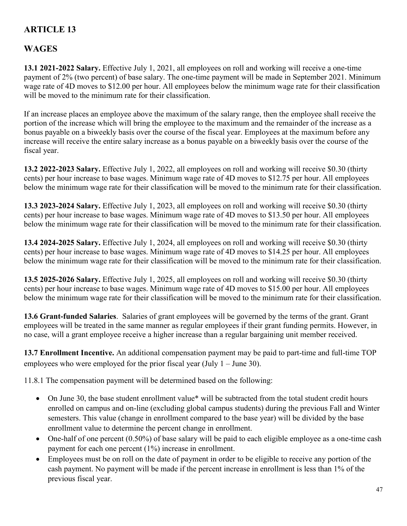# **WAGES**

**13.1 2021-2022 Salary.** Effective July 1, 2021, all employees on roll and working will receive a one-time payment of 2% (two percent) of base salary. The one-time payment will be made in September 2021. Minimum wage rate of 4D moves to \$12.00 per hour. All employees below the minimum wage rate for their classification will be moved to the minimum rate for their classification.

If an increase places an employee above the maximum of the salary range, then the employee shall receive the portion of the increase which will bring the employee to the maximum and the remainder of the increase as a bonus payable on a biweekly basis over the course of the fiscal year. Employees at the maximum before any increase will receive the entire salary increase as a bonus payable on a biweekly basis over the course of the fiscal year.

**13.2 2022-2023 Salary.** Effective July 1, 2022, all employees on roll and working will receive \$0.30 (thirty cents) per hour increase to base wages. Minimum wage rate of 4D moves to \$12.75 per hour. All employees below the minimum wage rate for their classification will be moved to the minimum rate for their classification.

**13.3 2023-2024 Salary.** Effective July 1, 2023, all employees on roll and working will receive \$0.30 (thirty cents) per hour increase to base wages. Minimum wage rate of 4D moves to \$13.50 per hour. All employees below the minimum wage rate for their classification will be moved to the minimum rate for their classification.

**13.4 2024-2025 Salary.** Effective July 1, 2024, all employees on roll and working will receive \$0.30 (thirty cents) per hour increase to base wages. Minimum wage rate of 4D moves to \$14.25 per hour. All employees below the minimum wage rate for their classification will be moved to the minimum rate for their classification.

**13.5 2025-2026 Salary.** Effective July 1, 2025, all employees on roll and working will receive \$0.30 (thirty cents) per hour increase to base wages. Minimum wage rate of 4D moves to \$15.00 per hour. All employees below the minimum wage rate for their classification will be moved to the minimum rate for their classification.

**13.6 Grant-funded Salaries**. Salaries of grant employees will be governed by the terms of the grant. Grant employees will be treated in the same manner as regular employees if their grant funding permits. However, in no case, will a grant employee receive a higher increase than a regular bargaining unit member received.

**13.7 Enrollment Incentive.** An additional compensation payment may be paid to part-time and full-time TOP employees who were employed for the prior fiscal year (July 1 – June 30).

11.8.1 The compensation payment will be determined based on the following:

- On June 30, the base student enrollment value\* will be subtracted from the total student credit hours enrolled on campus and on-line (excluding global campus students) during the previous Fall and Winter semesters. This value (change in enrollment compared to the base year) will be divided by the base enrollment value to determine the percent change in enrollment.
- One-half of one percent (0.50%) of base salary will be paid to each eligible employee as a one-time cash payment for each one percent (1%) increase in enrollment.
- Employees must be on roll on the date of payment in order to be eligible to receive any portion of the cash payment. No payment will be made if the percent increase in enrollment is less than 1% of the previous fiscal year.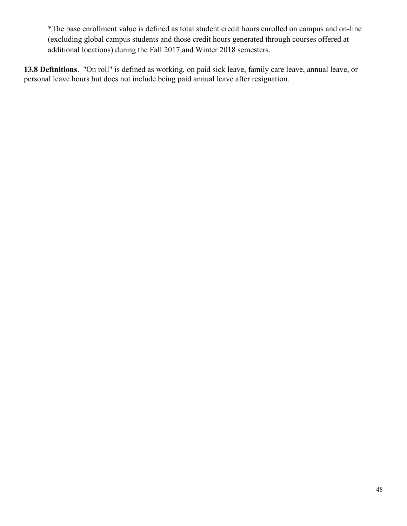\*The base enrollment value is defined as total student credit hours enrolled on campus and on-line (excluding global campus students and those credit hours generated through courses offered at additional locations) during the Fall 2017 and Winter 2018 semesters.

**13.8 Definitions**. "On roll" is defined as working, on paid sick leave, family care leave, annual leave, or personal leave hours but does not include being paid annual leave after resignation.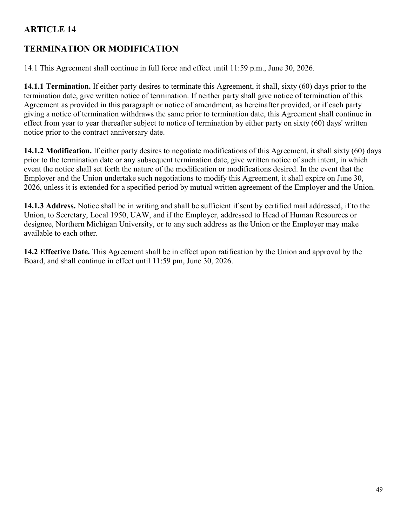## **TERMINATION OR MODIFICATION**

14.1 This Agreement shall continue in full force and effect until 11:59 p.m., June 30, 2026.

**14.1.1 Termination.** If either party desires to terminate this Agreement, it shall, sixty (60) days prior to the termination date, give written notice of termination. If neither party shall give notice of termination of this Agreement as provided in this paragraph or notice of amendment, as hereinafter provided, or if each party giving a notice of termination withdraws the same prior to termination date, this Agreement shall continue in effect from year to year thereafter subject to notice of termination by either party on sixty (60) days' written notice prior to the contract anniversary date.

**14.1.2 Modification.** If either party desires to negotiate modifications of this Agreement, it shall sixty (60) days prior to the termination date or any subsequent termination date, give written notice of such intent, in which event the notice shall set forth the nature of the modification or modifications desired. In the event that the Employer and the Union undertake such negotiations to modify this Agreement, it shall expire on June 30, 2026, unless it is extended for a specified period by mutual written agreement of the Employer and the Union.

**14.1.3 Address.** Notice shall be in writing and shall be sufficient if sent by certified mail addressed, if to the Union, to Secretary, Local 1950, UAW, and if the Employer, addressed to Head of Human Resources or designee, Northern Michigan University, or to any such address as the Union or the Employer may make available to each other.

**14.2 Effective Date.** This Agreement shall be in effect upon ratification by the Union and approval by the Board, and shall continue in effect until 11:59 pm, June 30, 2026.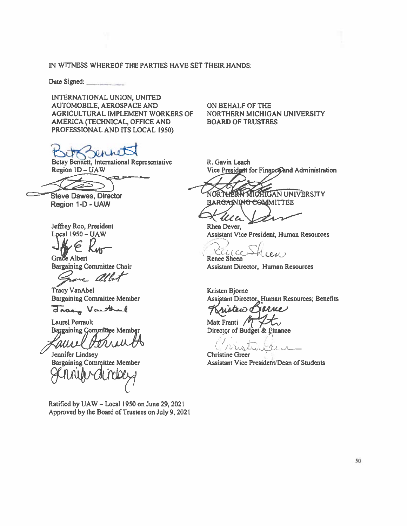#### IN WITNESS WHEREOF THE PARTIES HAVE SET THEIR HANDS:

Date Signed:

INTERNATIONAL UNION, UNITED AUTOMOBILE, AEROSPACE AND AGRICULTURAL IMPLEMENT WORKERS OF AMERICA (TECHNICAL, OFFICE AND PROFESSIONAL AND ITS LOCAL 1950)

Betsy Bennett, International Representative Region 1D - UAW

دو د

**Steve Dawes, Director** Region 1-D - UAW

Jeffrey Roo, President Local  $1950 - UAW$ 

Grace Albert

**Bargaining Committee Chair** 

re albert

**Tracy VanAbel Bargaining Committee Member** 

drasy Varthul

**Laurel Perrault Bargaining Gommittee Member** 

auvel UI V Jennifer Lindsey

**Bargaining Committee Member** 

Ratified by UAW - Local 1950 on June 29, 2021 Approved by the Board of Trustees on July 9, 2021 ON BEHALF OF THE NORTHERN MICHIGAN UNIVERSITY **BOARD OF TRUSTEES** 

R. Gavin Leach Vice President for Finance and Administration

NORTHERN MICHIGAN UNIVERSITY BARGANING COMMITTEE

T Ma Rhea Dever, **Assistant Vice President, Human Resources** 

CELLCE-Renee Sheen

**Assistant Director, Human Resources** 

**Kristen Bjorne** Assistant Director, Human Resources; Benefits

MMe teid G

Matt Franti  $\sqrt{\frac{1}{2}}$ Director of Budget & Finance

 $16241$ 

**Christine Greer Assistant Vice President/Dean of Students**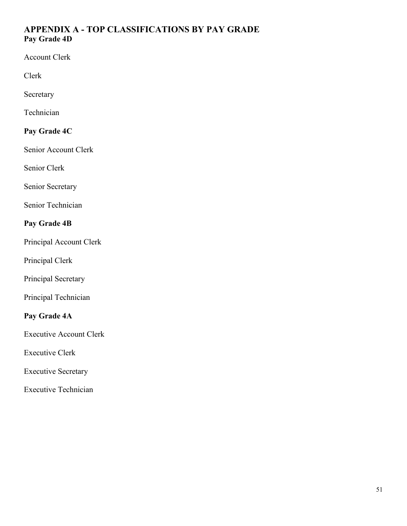## **APPENDIX A - TOP CLASSIFICATIONS BY PAY GRADE Pay Grade 4D**

Account Clerk

Clerk

Secretary

Technician

## **Pay Grade 4C**

Senior Account Clerk

Senior Clerk

Senior Secretary

Senior Technician

## **Pay Grade 4B**

Principal Account Clerk

Principal Clerk

Principal Secretary

Principal Technician

## **Pay Grade 4A**

Executive Account Clerk

Executive Clerk

Executive Secretary

Executive Technician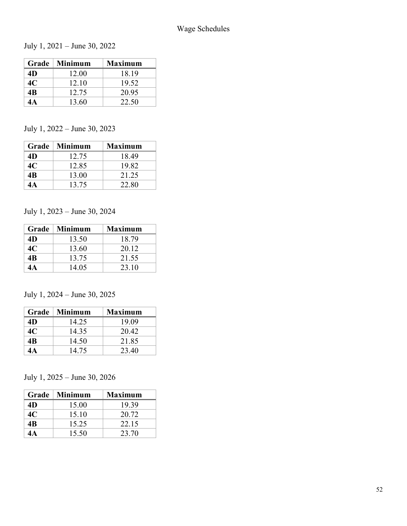July 1, 2021 – June 30, 2022

|    | Grade   Minimum | <b>Maximum</b> |
|----|-----------------|----------------|
| 4D | 12.00           | 18.19          |
| 4C | 12.10           | 19.52          |
| 4B | 12.75           | 20.95          |
|    | 13.60           | 22.50          |

## July 1, 2022 – June 30, 2023

|    | Grade   Minimum | <b>Maximum</b> |
|----|-----------------|----------------|
| 4D | 12.75           | 18.49          |
| 4C | 12.85           | 19.82          |
| 4B | 13.00           | 21.25          |
|    | 13.75           | 22.80          |

### July 1, 2023 – June 30, 2024

| Grade | Minimum | <b>Maximum</b> |
|-------|---------|----------------|
| 4D    | 13.50   | 18.79          |
| 4C    | 13.60   | 20.12          |
| 4B    | 13.75   | 21.55          |
| 1А    | 14.05   | 23.10          |

## July 1, 2024 – June 30, 2025

|    | Grade   Minimum | <b>Maximum</b> |
|----|-----------------|----------------|
| 4D | 14.25           | 19.09          |
| 4C | 14.35           | 20.42          |
| 4B | 14.50           | 21.85          |
| 1A | 14.75           | 23.40          |

## July 1, 2025 – June 30, 2026

|    | Grade   Minimum | <b>Maximum</b> |
|----|-----------------|----------------|
| 4D | 15.00           | 19.39          |
| 4C | 15.10           | 20.72          |
| 4B | 15.25           | 22.15          |
| 4А | 15.50           | 23.70          |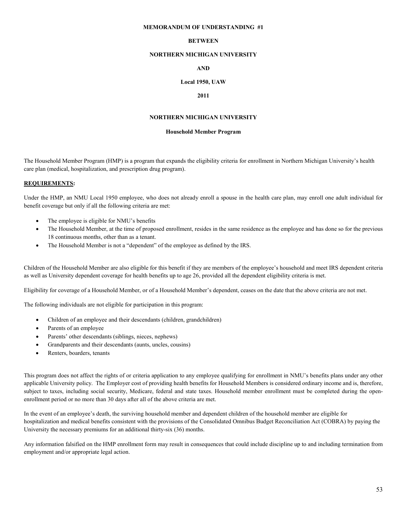#### **MEMORANDUM OF UNDERSTANDING #1**

#### **BETWEEN**

#### **NORTHERN MICHIGAN UNIVERSITY**

#### **AND**

#### **Local 1950, UAW**

#### **2011**

#### **NORTHERN MICHIGAN UNIVERSITY**

#### **Household Member Program**

The Household Member Program (HMP) is a program that expands the eligibility criteria for enrollment in Northern Michigan University's health care plan (medical, hospitalization, and prescription drug program).

#### **REQUIREMENTS:**

Under the HMP, an NMU Local 1950 employee, who does not already enroll a spouse in the health care plan, may enroll one adult individual for benefit coverage but only if all the following criteria are met:

- The employee is eligible for NMU's benefits
- The Household Member, at the time of proposed enrollment, resides in the same residence as the employee and has done so for the previous 18 continuous months, other than as a tenant.
- The Household Member is not a "dependent" of the employee as defined by the IRS.

Children of the Household Member are also eligible for this benefit if they are members of the employee's household and meet IRS dependent criteria as well as University dependent coverage for health benefits up to age 26, provided all the dependent eligibility criteria is met.

Eligibility for coverage of a Household Member, or of a Household Member's dependent, ceases on the date that the above criteria are not met.

The following individuals are not eligible for participation in this program:

- Children of an employee and their descendants (children, grandchildren)
- Parents of an employee
- Parents' other descendants (siblings, nieces, nephews)
- Grandparents and their descendants (aunts, uncles, cousins)
- Renters, boarders, tenants

This program does not affect the rights of or criteria application to any employee qualifying for enrollment in NMU's benefits plans under any other applicable University policy. The Employer cost of providing health benefits for Household Members is considered ordinary income and is, therefore, subject to taxes, including social security, Medicare, federal and state taxes. Household member enrollment must be completed during the openenrollment period or no more than 30 days after all of the above criteria are met.

In the event of an employee's death, the surviving household member and dependent children of the household member are eligible for hospitalization and medical benefits consistent with the provisions of the Consolidated Omnibus Budget Reconciliation Act (COBRA) by paying the University the necessary premiums for an additional thirty-six (36) months.

Any information falsified on the HMP enrollment form may result in consequences that could include discipline up to and including termination from employment and/or appropriate legal action.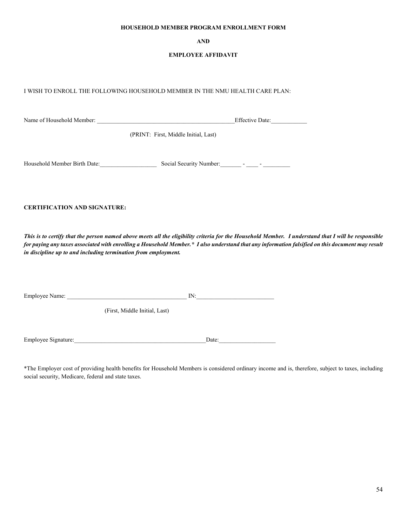#### **HOUSEHOLD MEMBER PROGRAM ENROLLMENT FORM**

#### **AND**

#### **EMPLOYEE AFFIDAVIT**

I WISH TO ENROLL THE FOLLOWING HOUSEHOLD MEMBER IN THE NMU HEALTH CARE PLAN:

Name of Household Member: \_\_\_\_\_\_\_\_\_\_\_\_\_\_\_\_\_\_\_\_\_\_\_\_\_\_\_\_\_\_\_\_\_\_\_\_\_\_\_\_\_\_\_\_\_\_Effective Date:\_\_\_\_\_\_\_\_\_\_\_\_ (PRINT: First, Middle Initial, Last) Household Member Birth Date: Social Security Number: \_\_\_\_\_\_\_ - \_\_\_\_ - \_\_\_\_\_\_\_\_\_\_

**CERTIFICATION AND SIGNATURE:**

*This is to certify that the person named above meets all the eligibility criteria for the Household Member. I understand that I will be responsible for paying any taxes associated with enrolling a Household Member.\* I also understand that any information falsified on this document may result in discipline up to and including termination from employment.* 

Employee Name: \_\_\_\_\_\_\_\_\_\_\_\_\_\_\_\_\_\_\_\_\_\_\_\_\_\_\_\_\_\_\_\_\_\_\_\_\_\_\_\_ IN:\_\_\_\_\_\_\_\_\_\_\_\_\_\_\_\_\_\_\_\_\_\_\_\_\_\_ (First, Middle Initial, Last)

Employee Signature:\_\_\_\_\_\_\_\_\_\_\_\_\_\_\_\_\_\_\_\_\_\_\_\_\_\_\_\_\_\_\_\_\_\_\_\_\_\_\_\_\_\_\_\_Date:\_\_\_\_\_\_\_\_\_\_\_\_\_\_\_\_\_\_\_

\*The Employer cost of providing health benefits for Household Members is considered ordinary income and is, therefore, subject to taxes, including social security, Medicare, federal and state taxes.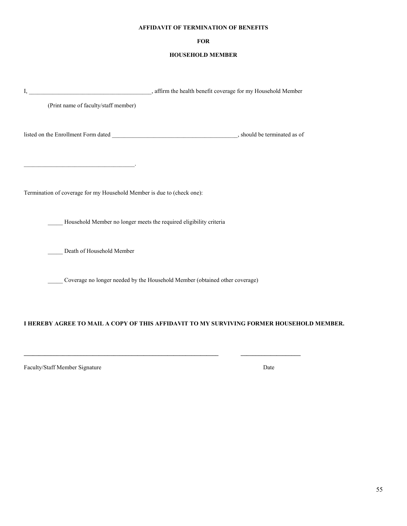#### **AFFIDAVIT OF TERMINATION OF BENEFITS**

#### **FOR**

#### **HOUSEHOLD MEMBER**

| (Print name of faculty/staff member)                                                                                  |                                                                                          |  |
|-----------------------------------------------------------------------------------------------------------------------|------------------------------------------------------------------------------------------|--|
|                                                                                                                       |                                                                                          |  |
| <u> 1989 - Johann Barn, mars ann an t-Amhain an t-Amhain an t-Amhain an t-Amhain an t-Amhain an t-Amhain an t-Amh</u> |                                                                                          |  |
| Termination of coverage for my Household Member is due to (check one):                                                |                                                                                          |  |
|                                                                                                                       | Household Member no longer meets the required eligibility criteria                       |  |
| Death of Household Member                                                                                             |                                                                                          |  |
|                                                                                                                       | ___ Coverage no longer needed by the Household Member (obtained other coverage)          |  |
|                                                                                                                       | I HEREBY AGREE TO MAIL A COPY OF THIS AFFIDAVIT TO MY SURVIVING FORMER HOUSEHOLD MEMBER. |  |

**\_\_\_\_\_\_\_\_\_\_\_\_\_\_\_\_\_\_\_\_\_\_\_\_\_\_\_\_\_\_\_\_\_\_\_\_\_\_\_\_\_\_\_\_\_\_\_\_\_\_\_\_\_\_\_\_\_\_\_\_\_\_\_\_\_ \_\_\_\_\_\_\_\_\_\_\_\_\_\_\_\_\_\_\_\_**

Faculty/Staff Member Signature Date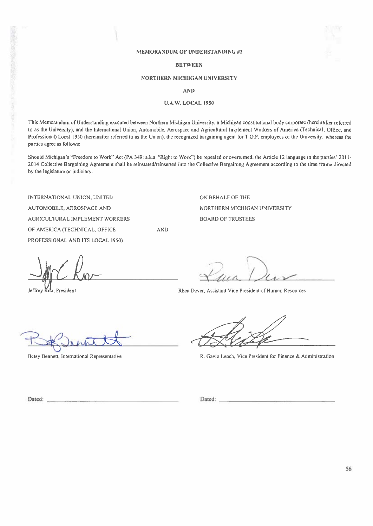#### **MEMORANDUM OF UNDERSTANDING #2**

#### **BETWEEN**

#### **NORTHERN MICHIGAN UNIVERSITY**

**AND** 

#### **U.A.W. LOCAL 1950**

This Memorandum of Understanding executed between Northern Michigan University, a Michigan constitutional body corporate (hereinafter referred to as the University), and the International Union, Automobile, Aerospace and Agricultural Implement Workers of America (Technical, Office, and Professional) Local 1950 (hereinafter referred to as the Union), the recognized bargaining agent for T.O.P. employees of the University, whereas the parties agree as follows:

Should Michigan's "Freedom to Work" Act (PA 349: a.k.a. "Right to Work") be repealed or overturned, the Article 12 language in the parties' 2011-2014 Collective Bargaining Agreement shall be reinstated/reinserted into the Collective Bargaining Agreement according to the time frame directed by the legislature or judiciary.

**AND** 

INTERNATIONAL UNION, UNITED AUTOMOBILE, AEROSPACE AND AGRICULTURAL IMPLEMENT WORKERS OF AMERICA (TECHNICAL, OFFICE PROFESSIONAL AND ITS LOCAL 1950)

Jeffrey Roo, President

ON BEHALF OF THE NORTHERN MICHIGAN UNIVERSITY **BOARD OF TRUSTEES** 

Rhea Dever, Assistant Vice President of Human Resources

Betsy Bennett, International Representative

R. Gavin Leach, Vice President for Finance & Administration

Dated:

Dated: